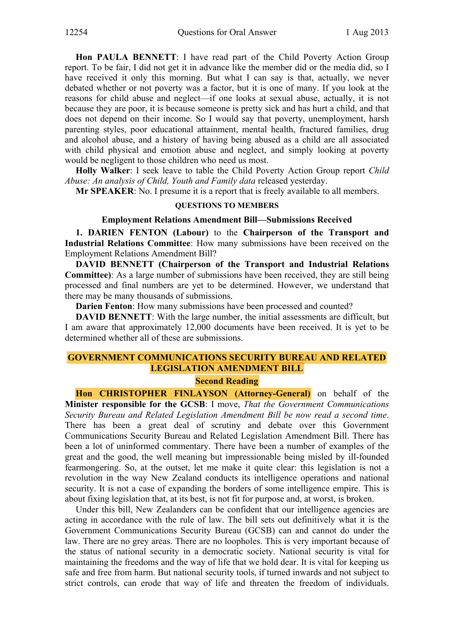**Hon PAULA BENNETT**: I have read part of the Child Poverty Action Group report. To be fair, I did not get it in advance like the member did or the media did, so I have received it only this morning. But what I can say is that, actually, we never debated whether or not poverty was a factor, but it is one of many. If you look at the reasons for child abuse and neglect—if one looks at sexual abuse, actually, it is not because they are poor, it is because someone is pretty sick and has hurt a child, and that does not depend on their income. So I would say that poverty, unemployment, harsh parenting styles, poor educational attainment, mental health, fractured families, drug and alcohol abuse, and a history of having being abused as a child are all associated with child physical and emotion abuse and neglect, and simply looking at poverty would be negligent to those children who need us most.

**Holly Walker**: I seek leave to table the Child Poverty Action Group report *Child Abuse: An analysis of Child, Youth and Family data* released yesterday.

**Mr SPEAKER**: No. I presume it is a report that is freely available to all members.

## **QUESTIONS TO MEMBERS**

# **Employment Relations Amendment Bill—Submissions Received**

**1. DARIEN FENTON (Labour)** to the **Chairperson of the Transport and Industrial Relations Committee**: How many submissions have been received on the Employment Relations Amendment Bill?

**DAVID BENNETT (Chairperson of the Transport and Industrial Relations Committee)**: As a large number of submissions have been received, they are still being processed and final numbers are yet to be determined. However, we understand that there may be many thousands of submissions.

**Darien Fenton**: How many submissions have been processed and counted?

**DAVID BENNETT**: With the large number, the initial assessments are difficult, but I am aware that approximately 12,000 documents have been received. It is yet to be determined whether all of these are submissions.

# **GOVERNMENT COMMUNICATIONS SECURITY BUREAU AND RELATED LEGISLATION AMENDMENT BILL**

## **Second Reading**

**Hon CHRISTOPHER FINLAYSON (Attorney-General)** on behalf of the **Minister responsible for the GCSB**: I move, *That the Government Communications Security Bureau and Related Legislation Amendment Bill be now read a second time*. There has been a great deal of scrutiny and debate over this Government Communications Security Bureau and Related Legislation Amendment Bill. There has been a lot of uninformed commentary. There have been a number of examples of the great and the good, the well meaning but impressionable being misled by ill-founded fearmongering. So, at the outset, let me make it quite clear: this legislation is not a revolution in the way New Zealand conducts its intelligence operations and national security. It is not a case of expanding the borders of some intelligence empire. This is about fixing legislation that, at its best, is not fit for purpose and, at worst, is broken.

Under this bill, New Zealanders can be confident that our intelligence agencies are acting in accordance with the rule of law. The bill sets out definitively what it is the Government Communications Security Bureau (GCSB) can and cannot do under the law. There are no grey areas. There are no loopholes. This is very important because of the status of national security in a democratic society. National security is vital for maintaining the freedoms and the way of life that we hold dear. It is vital for keeping us safe and free from harm. But national security tools, if turned inwards and not subject to strict controls, can erode that way of life and threaten the freedom of individuals.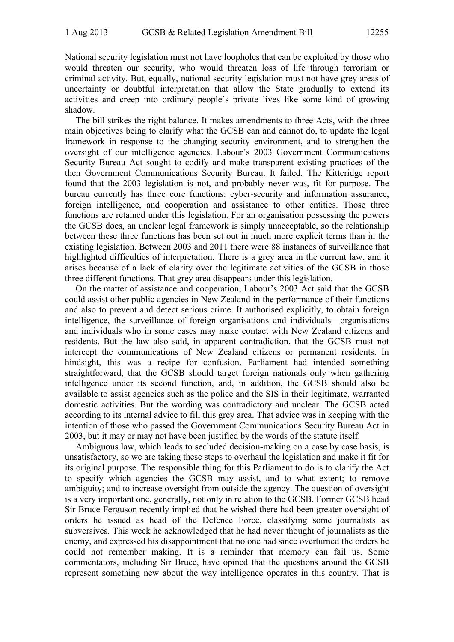National security legislation must not have loopholes that can be exploited by those who would threaten our security, who would threaten loss of life through terrorism or criminal activity. But, equally, national security legislation must not have grey areas of uncertainty or doubtful interpretation that allow the State gradually to extend its activities and creep into ordinary people's private lives like some kind of growing shadow.

The bill strikes the right balance. It makes amendments to three Acts, with the three main objectives being to clarify what the GCSB can and cannot do, to update the legal framework in response to the changing security environment, and to strengthen the oversight of our intelligence agencies. Labour's 2003 Government Communications Security Bureau Act sought to codify and make transparent existing practices of the then Government Communications Security Bureau. It failed. The Kitteridge report found that the 2003 legislation is not, and probably never was, fit for purpose. The bureau currently has three core functions: cyber-security and information assurance, foreign intelligence, and cooperation and assistance to other entities. Those three functions are retained under this legislation. For an organisation possessing the powers the GCSB does, an unclear legal framework is simply unacceptable, so the relationship between these three functions has been set out in much more explicit terms than in the existing legislation. Between 2003 and 2011 there were 88 instances of surveillance that highlighted difficulties of interpretation. There is a grey area in the current law, and it arises because of a lack of clarity over the legitimate activities of the GCSB in those three different functions. That grey area disappears under this legislation.

On the matter of assistance and cooperation, Labour's 2003 Act said that the GCSB could assist other public agencies in New Zealand in the performance of their functions and also to prevent and detect serious crime. It authorised explicitly, to obtain foreign intelligence, the surveillance of foreign organisations and individuals—organisations and individuals who in some cases may make contact with New Zealand citizens and residents. But the law also said, in apparent contradiction, that the GCSB must not intercept the communications of New Zealand citizens or permanent residents. In hindsight, this was a recipe for confusion. Parliament had intended something straightforward, that the GCSB should target foreign nationals only when gathering intelligence under its second function, and, in addition, the GCSB should also be available to assist agencies such as the police and the SIS in their legitimate, warranted domestic activities. But the wording was contradictory and unclear. The GCSB acted according to its internal advice to fill this grey area. That advice was in keeping with the intention of those who passed the Government Communications Security Bureau Act in 2003, but it may or may not have been justified by the words of the statute itself.

Ambiguous law, which leads to secluded decision-making on a case by case basis, is unsatisfactory, so we are taking these steps to overhaul the legislation and make it fit for its original purpose. The responsible thing for this Parliament to do is to clarify the Act to specify which agencies the GCSB may assist, and to what extent; to remove ambiguity; and to increase oversight from outside the agency. The question of oversight is a very important one, generally, not only in relation to the GCSB. Former GCSB head Sir Bruce Ferguson recently implied that he wished there had been greater oversight of orders he issued as head of the Defence Force, classifying some journalists as subversives. This week he acknowledged that he had never thought of journalists as the enemy, and expressed his disappointment that no one had since overturned the orders he could not remember making. It is a reminder that memory can fail us. Some commentators, including Sir Bruce, have opined that the questions around the GCSB represent something new about the way intelligence operates in this country. That is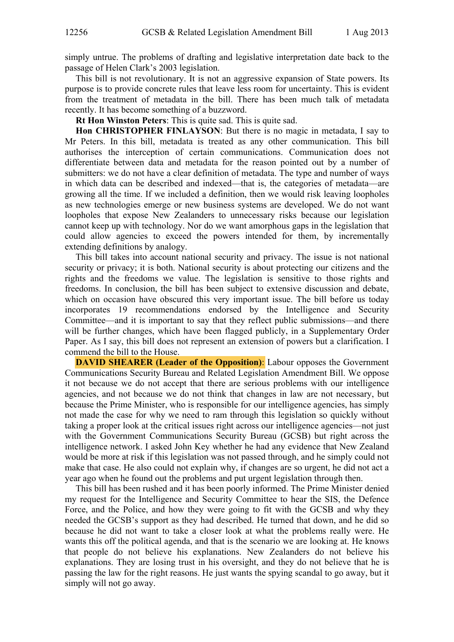simply untrue. The problems of drafting and legislative interpretation date back to the passage of Helen Clark's 2003 legislation.

This bill is not revolutionary. It is not an aggressive expansion of State powers. Its purpose is to provide concrete rules that leave less room for uncertainty. This is evident from the treatment of metadata in the bill. There has been much talk of metadata recently. It has become something of a buzzword.

**Rt Hon Winston Peters**: This is quite sad. This is quite sad.

**Hon CHRISTOPHER FINLAYSON**: But there is no magic in metadata, I say to Mr Peters. In this bill, metadata is treated as any other communication. This bill authorises the interception of certain communications. Communication does not differentiate between data and metadata for the reason pointed out by a number of submitters: we do not have a clear definition of metadata. The type and number of ways in which data can be described and indexed—that is, the categories of metadata—are growing all the time. If we included a definition, then we would risk leaving loopholes as new technologies emerge or new business systems are developed. We do not want loopholes that expose New Zealanders to unnecessary risks because our legislation cannot keep up with technology. Nor do we want amorphous gaps in the legislation that could allow agencies to exceed the powers intended for them, by incrementally extending definitions by analogy.

This bill takes into account national security and privacy. The issue is not national security or privacy; it is both. National security is about protecting our citizens and the rights and the freedoms we value. The legislation is sensitive to those rights and freedoms. In conclusion, the bill has been subject to extensive discussion and debate, which on occasion have obscured this very important issue. The bill before us today incorporates 19 recommendations endorsed by the Intelligence and Security Committee—and it is important to say that they reflect public submissions—and there will be further changes, which have been flagged publicly, in a Supplementary Order Paper. As I say, this bill does not represent an extension of powers but a clarification. I commend the bill to the House.

**DAVID SHEARER (Leader of the Opposition):** Labour opposes the Government Communications Security Bureau and Related Legislation Amendment Bill. We oppose it not because we do not accept that there are serious problems with our intelligence agencies, and not because we do not think that changes in law are not necessary, but because the Prime Minister, who is responsible for our intelligence agencies, has simply not made the case for why we need to ram through this legislation so quickly without taking a proper look at the critical issues right across our intelligence agencies—not just with the Government Communications Security Bureau (GCSB) but right across the intelligence network. I asked John Key whether he had any evidence that New Zealand would be more at risk if this legislation was not passed through, and he simply could not make that case. He also could not explain why, if changes are so urgent, he did not act a year ago when he found out the problems and put urgent legislation through then.

This bill has been rushed and it has been poorly informed. The Prime Minister denied my request for the Intelligence and Security Committee to hear the SIS, the Defence Force, and the Police, and how they were going to fit with the GCSB and why they needed the GCSB's support as they had described. He turned that down, and he did so because he did not want to take a closer look at what the problems really were. He wants this off the political agenda, and that is the scenario we are looking at. He knows that people do not believe his explanations. New Zealanders do not believe his explanations. They are losing trust in his oversight, and they do not believe that he is passing the law for the right reasons. He just wants the spying scandal to go away, but it simply will not go away.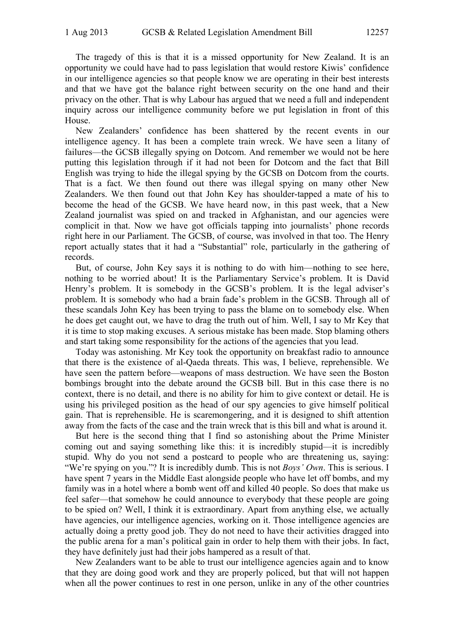The tragedy of this is that it is a missed opportunity for New Zealand. It is an opportunity we could have had to pass legislation that would restore Kiwis' confidence in our intelligence agencies so that people know we are operating in their best interests and that we have got the balance right between security on the one hand and their privacy on the other. That is why Labour has argued that we need a full and independent inquiry across our intelligence community before we put legislation in front of this House.

New Zealanders' confidence has been shattered by the recent events in our intelligence agency. It has been a complete train wreck. We have seen a litany of failures—the GCSB illegally spying on Dotcom. And remember we would not be here putting this legislation through if it had not been for Dotcom and the fact that Bill English was trying to hide the illegal spying by the GCSB on Dotcom from the courts. That is a fact. We then found out there was illegal spying on many other New Zealanders. We then found out that John Key has shoulder-tapped a mate of his to become the head of the GCSB. We have heard now, in this past week, that a New Zealand journalist was spied on and tracked in Afghanistan, and our agencies were complicit in that. Now we have got officials tapping into journalists' phone records right here in our Parliament. The GCSB, of course, was involved in that too. The Henry report actually states that it had a "Substantial" role, particularly in the gathering of records.

But, of course, John Key says it is nothing to do with him—nothing to see here, nothing to be worried about! It is the Parliamentary Service's problem. It is David Henry's problem. It is somebody in the GCSB's problem. It is the legal adviser's problem. It is somebody who had a brain fade's problem in the GCSB. Through all of these scandals John Key has been trying to pass the blame on to somebody else. When he does get caught out, we have to drag the truth out of him. Well, I say to Mr Key that it is time to stop making excuses. A serious mistake has been made. Stop blaming others and start taking some responsibility for the actions of the agencies that you lead.

Today was astonishing. Mr Key took the opportunity on breakfast radio to announce that there is the existence of al-Qaeda threats. This was, I believe, reprehensible. We have seen the pattern before—weapons of mass destruction. We have seen the Boston bombings brought into the debate around the GCSB bill. But in this case there is no context, there is no detail, and there is no ability for him to give context or detail. He is using his privileged position as the head of our spy agencies to give himself political gain. That is reprehensible. He is scaremongering, and it is designed to shift attention away from the facts of the case and the train wreck that is this bill and what is around it.

But here is the second thing that I find so astonishing about the Prime Minister coming out and saying something like this: it is incredibly stupid—it is incredibly stupid. Why do you not send a postcard to people who are threatening us, saying: "We're spying on you."? It is incredibly dumb. This is not *Boys' Own*. This is serious. I have spent 7 years in the Middle East alongside people who have let off bombs, and my family was in a hotel where a bomb went off and killed 40 people. So does that make us feel safer—that somehow he could announce to everybody that these people are going to be spied on? Well, I think it is extraordinary. Apart from anything else, we actually have agencies, our intelligence agencies, working on it. Those intelligence agencies are actually doing a pretty good job. They do not need to have their activities dragged into the public arena for a man's political gain in order to help them with their jobs. In fact, they have definitely just had their jobs hampered as a result of that.

New Zealanders want to be able to trust our intelligence agencies again and to know that they are doing good work and they are properly policed, but that will not happen when all the power continues to rest in one person, unlike in any of the other countries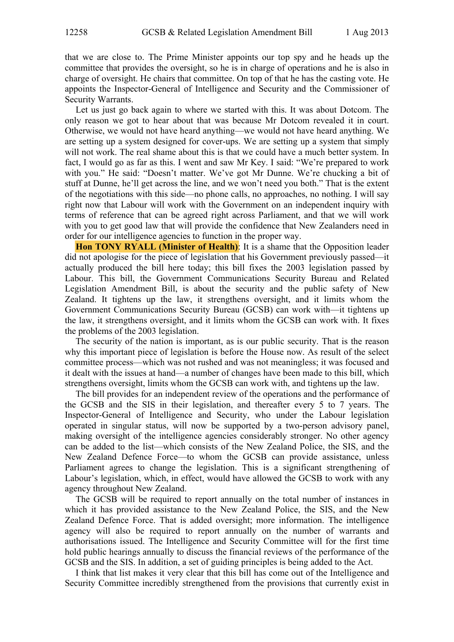that we are close to. The Prime Minister appoints our top spy and he heads up the committee that provides the oversight, so he is in charge of operations and he is also in charge of oversight. He chairs that committee. On top of that he has the casting vote. He appoints the Inspector-General of Intelligence and Security and the Commissioner of Security Warrants.

Let us just go back again to where we started with this. It was about Dotcom. The only reason we got to hear about that was because Mr Dotcom revealed it in court. Otherwise, we would not have heard anything—we would not have heard anything. We are setting up a system designed for cover-ups. We are setting up a system that simply will not work. The real shame about this is that we could have a much better system. In fact, I would go as far as this. I went and saw Mr Key. I said: "We're prepared to work with you." He said: "Doesn't matter. We've got Mr Dunne. We're chucking a bit of stuff at Dunne, he'll get across the line, and we won't need you both." That is the extent of the negotiations with this side—no phone calls, no approaches, no nothing. I will say right now that Labour will work with the Government on an independent inquiry with terms of reference that can be agreed right across Parliament, and that we will work with you to get good law that will provide the confidence that New Zealanders need in order for our intelligence agencies to function in the proper way.

**Hon TONY RYALL (Minister of Health)**: It is a shame that the Opposition leader did not apologise for the piece of legislation that his Government previously passed—it actually produced the bill here today; this bill fixes the 2003 legislation passed by Labour. This bill, the Government Communications Security Bureau and Related Legislation Amendment Bill, is about the security and the public safety of New Zealand. It tightens up the law, it strengthens oversight, and it limits whom the Government Communications Security Bureau (GCSB) can work with—it tightens up the law, it strengthens oversight, and it limits whom the GCSB can work with. It fixes the problems of the 2003 legislation.

The security of the nation is important, as is our public security. That is the reason why this important piece of legislation is before the House now. As result of the select committee process—which was not rushed and was not meaningless; it was focused and it dealt with the issues at hand—a number of changes have been made to this bill, which strengthens oversight, limits whom the GCSB can work with, and tightens up the law.

The bill provides for an independent review of the operations and the performance of the GCSB and the SIS in their legislation, and thereafter every 5 to 7 years. The Inspector-General of Intelligence and Security, who under the Labour legislation operated in singular status, will now be supported by a two-person advisory panel, making oversight of the intelligence agencies considerably stronger. No other agency can be added to the list—which consists of the New Zealand Police, the SIS, and the New Zealand Defence Force—to whom the GCSB can provide assistance, unless Parliament agrees to change the legislation. This is a significant strengthening of Labour's legislation, which, in effect, would have allowed the GCSB to work with any agency throughout New Zealand.

The GCSB will be required to report annually on the total number of instances in which it has provided assistance to the New Zealand Police, the SIS, and the New Zealand Defence Force. That is added oversight; more information. The intelligence agency will also be required to report annually on the number of warrants and authorisations issued. The Intelligence and Security Committee will for the first time hold public hearings annually to discuss the financial reviews of the performance of the GCSB and the SIS. In addition, a set of guiding principles is being added to the Act.

I think that list makes it very clear that this bill has come out of the Intelligence and Security Committee incredibly strengthened from the provisions that currently exist in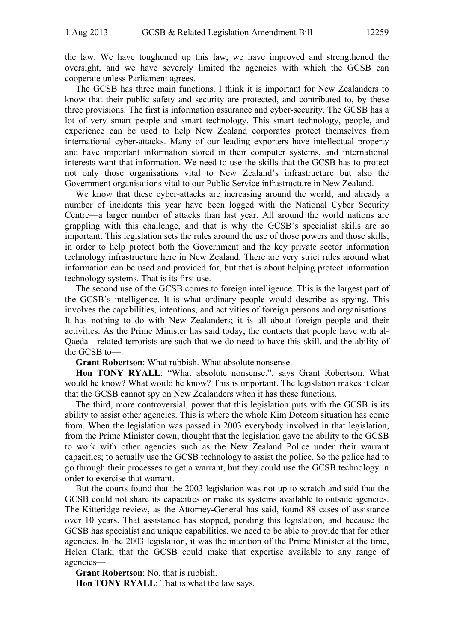the law. We have toughened up this law, we have improved and strengthened the oversight, and we have severely limited the agencies with which the GCSB can cooperate unless Parliament agrees.

The GCSB has three main functions. I think it is important for New Zealanders to know that their public safety and security are protected, and contributed to, by these three provisions. The first is information assurance and cyber-security. The GCSB has a lot of very smart people and smart technology. This smart technology, people, and experience can be used to help New Zealand corporates protect themselves from international cyber-attacks. Many of our leading exporters have intellectual property and have important information stored in their computer systems, and international interests want that information. We need to use the skills that the GCSB has to protect not only those organisations vital to New Zealand's infrastructure but also the Government organisations vital to our Public Service infrastructure in New Zealand.

We know that these cyber-attacks are increasing around the world, and already a number of incidents this year have been logged with the National Cyber Security Centre—a larger number of attacks than last year. All around the world nations are grappling with this challenge, and that is why the GCSB's specialist skills are so important. This legislation sets the rules around the use of those powers and those skills, in order to help protect both the Government and the key private sector information technology infrastructure here in New Zealand. There are very strict rules around what information can be used and provided for, but that is about helping protect information technology systems. That is its first use.

The second use of the GCSB comes to foreign intelligence. This is the largest part of the GCSB's intelligence. It is what ordinary people would describe as spying. This involves the capabilities, intentions, and activities of foreign persons and organisations. It has nothing to do with New Zealanders; it is all about foreign people and their activities. As the Prime Minister has said today, the contacts that people have with al-Qaeda - related terrorists are such that we do need to have this skill, and the ability of the GCSB to—

**Grant Robertson**: What rubbish. What absolute nonsense.

**Hon TONY RYALL**: "What absolute nonsense.", says Grant Robertson. What would he know? What would he know? This is important. The legislation makes it clear that the GCSB cannot spy on New Zealanders when it has these functions.

The third, more controversial, power that this legislation puts with the GCSB is its ability to assist other agencies. This is where the whole Kim Dotcom situation has come from. When the legislation was passed in 2003 everybody involved in that legislation, from the Prime Minister down, thought that the legislation gave the ability to the GCSB to work with other agencies such as the New Zealand Police under their warrant capacities; to actually use the GCSB technology to assist the police. So the police had to go through their processes to get a warrant, but they could use the GCSB technology in order to exercise that warrant.

But the courts found that the 2003 legislation was not up to scratch and said that the GCSB could not share its capacities or make its systems available to outside agencies. The Kitteridge review, as the Attorney-General has said, found 88 cases of assistance over 10 years. That assistance has stopped, pending this legislation, and because the GCSB has specialist and unique capabilities, we need to be able to provide that for other agencies. In the 2003 legislation, it was the intention of the Prime Minister at the time, Helen Clark, that the GCSB could make that expertise available to any range of agencies—

**Grant Robertson**: No, that is rubbish.

**Hon TONY RYALL**: That is what the law says.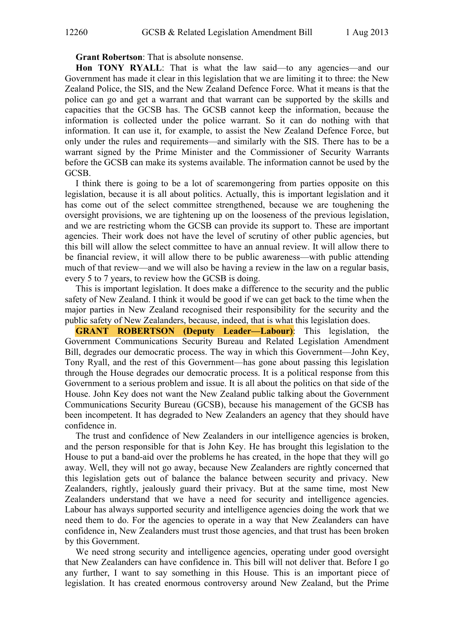**Grant Robertson**: That is absolute nonsense.

**Hon TONY RYALL**: That is what the law said—to any agencies—and our Government has made it clear in this legislation that we are limiting it to three: the New Zealand Police, the SIS, and the New Zealand Defence Force. What it means is that the police can go and get a warrant and that warrant can be supported by the skills and capacities that the GCSB has. The GCSB cannot keep the information, because the information is collected under the police warrant. So it can do nothing with that information. It can use it, for example, to assist the New Zealand Defence Force, but only under the rules and requirements—and similarly with the SIS. There has to be a warrant signed by the Prime Minister and the Commissioner of Security Warrants before the GCSB can make its systems available. The information cannot be used by the GCSB.

I think there is going to be a lot of scaremongering from parties opposite on this legislation, because it is all about politics. Actually, this is important legislation and it has come out of the select committee strengthened, because we are toughening the oversight provisions, we are tightening up on the looseness of the previous legislation, and we are restricting whom the GCSB can provide its support to. These are important agencies. Their work does not have the level of scrutiny of other public agencies, but this bill will allow the select committee to have an annual review. It will allow there to be financial review, it will allow there to be public awareness—with public attending much of that review—and we will also be having a review in the law on a regular basis, every 5 to 7 years, to review how the GCSB is doing.

This is important legislation. It does make a difference to the security and the public safety of New Zealand. I think it would be good if we can get back to the time when the major parties in New Zealand recognised their responsibility for the security and the public safety of New Zealanders, because, indeed, that is what this legislation does.

**GRANT ROBERTSON (Deputy Leader—Labour)**: This legislation, the Government Communications Security Bureau and Related Legislation Amendment Bill, degrades our democratic process. The way in which this Government—John Key, Tony Ryall, and the rest of this Government—has gone about passing this legislation through the House degrades our democratic process. It is a political response from this Government to a serious problem and issue. It is all about the politics on that side of the House. John Key does not want the New Zealand public talking about the Government Communications Security Bureau (GCSB), because his management of the GCSB has been incompetent. It has degraded to New Zealanders an agency that they should have confidence in.

The trust and confidence of New Zealanders in our intelligence agencies is broken, and the person responsible for that is John Key. He has brought this legislation to the House to put a band-aid over the problems he has created, in the hope that they will go away. Well, they will not go away, because New Zealanders are rightly concerned that this legislation gets out of balance the balance between security and privacy. New Zealanders, rightly, jealously guard their privacy. But at the same time, most New Zealanders understand that we have a need for security and intelligence agencies. Labour has always supported security and intelligence agencies doing the work that we need them to do. For the agencies to operate in a way that New Zealanders can have confidence in, New Zealanders must trust those agencies, and that trust has been broken by this Government.

We need strong security and intelligence agencies, operating under good oversight that New Zealanders can have confidence in. This bill will not deliver that. Before I go any further, I want to say something in this House. This is an important piece of legislation. It has created enormous controversy around New Zealand, but the Prime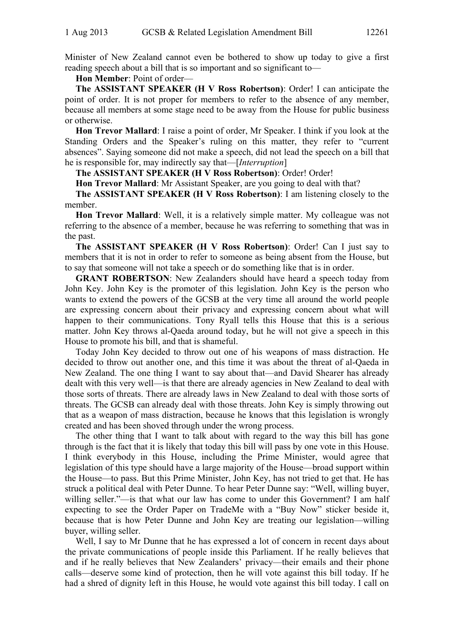Minister of New Zealand cannot even be bothered to show up today to give a first reading speech about a bill that is so important and so significant to—

**Hon Member**: Point of order—

**The ASSISTANT SPEAKER (H V Ross Robertson)**: Order! I can anticipate the point of order. It is not proper for members to refer to the absence of any member, because all members at some stage need to be away from the House for public business or otherwise.

**Hon Trevor Mallard**: I raise a point of order, Mr Speaker. I think if you look at the Standing Orders and the Speaker's ruling on this matter, they refer to "current absences". Saying someone did not make a speech, did not lead the speech on a bill that he is responsible for, may indirectly say that—[*Interruption*]

**The ASSISTANT SPEAKER (H V Ross Robertson)**: Order! Order!

**Hon Trevor Mallard**: Mr Assistant Speaker, are you going to deal with that?

**The ASSISTANT SPEAKER (H V Ross Robertson)**: I am listening closely to the member.

**Hon Trevor Mallard**: Well, it is a relatively simple matter. My colleague was not referring to the absence of a member, because he was referring to something that was in the past.

**The ASSISTANT SPEAKER (H V Ross Robertson)**: Order! Can I just say to members that it is not in order to refer to someone as being absent from the House, but to say that someone will not take a speech or do something like that is in order.

**GRANT ROBERTSON**: New Zealanders should have heard a speech today from John Key. John Key is the promoter of this legislation. John Key is the person who wants to extend the powers of the GCSB at the very time all around the world people are expressing concern about their privacy and expressing concern about what will happen to their communications. Tony Ryall tells this House that this is a serious matter. John Key throws al-Qaeda around today, but he will not give a speech in this House to promote his bill, and that is shameful.

Today John Key decided to throw out one of his weapons of mass distraction. He decided to throw out another one, and this time it was about the threat of al-Qaeda in New Zealand. The one thing I want to say about that—and David Shearer has already dealt with this very well—is that there are already agencies in New Zealand to deal with those sorts of threats. There are already laws in New Zealand to deal with those sorts of threats. The GCSB can already deal with those threats. John Key is simply throwing out that as a weapon of mass distraction, because he knows that this legislation is wrongly created and has been shoved through under the wrong process.

The other thing that I want to talk about with regard to the way this bill has gone through is the fact that it is likely that today this bill will pass by one vote in this House. I think everybody in this House, including the Prime Minister, would agree that legislation of this type should have a large majority of the House—broad support within the House—to pass. But this Prime Minister, John Key, has not tried to get that. He has struck a political deal with Peter Dunne. To hear Peter Dunne say: "Well, willing buyer, willing seller."—is that what our law has come to under this Government? I am half expecting to see the Order Paper on TradeMe with a "Buy Now" sticker beside it, because that is how Peter Dunne and John Key are treating our legislation—willing buyer, willing seller.

Well, I say to Mr Dunne that he has expressed a lot of concern in recent days about the private communications of people inside this Parliament. If he really believes that and if he really believes that New Zealanders' privacy—their emails and their phone calls—deserve some kind of protection, then he will vote against this bill today. If he had a shred of dignity left in this House, he would vote against this bill today. I call on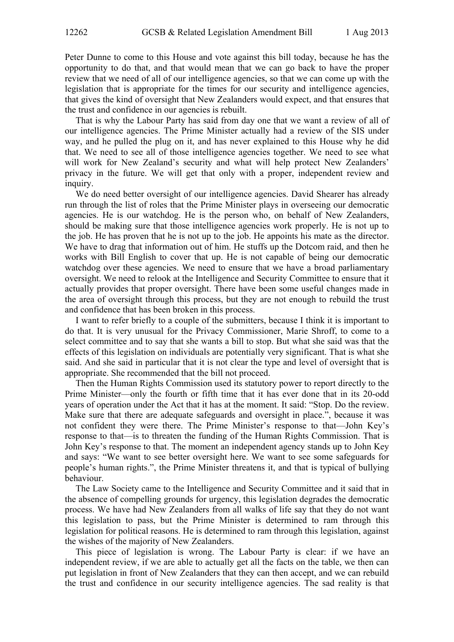Peter Dunne to come to this House and vote against this bill today, because he has the opportunity to do that, and that would mean that we can go back to have the proper review that we need of all of our intelligence agencies, so that we can come up with the legislation that is appropriate for the times for our security and intelligence agencies, that gives the kind of oversight that New Zealanders would expect, and that ensures that the trust and confidence in our agencies is rebuilt.

That is why the Labour Party has said from day one that we want a review of all of our intelligence agencies. The Prime Minister actually had a review of the SIS under way, and he pulled the plug on it, and has never explained to this House why he did that. We need to see all of those intelligence agencies together. We need to see what will work for New Zealand's security and what will help protect New Zealanders' privacy in the future. We will get that only with a proper, independent review and inquiry.

We do need better oversight of our intelligence agencies. David Shearer has already run through the list of roles that the Prime Minister plays in overseeing our democratic agencies. He is our watchdog. He is the person who, on behalf of New Zealanders, should be making sure that those intelligence agencies work properly. He is not up to the job. He has proven that he is not up to the job. He appoints his mate as the director. We have to drag that information out of him. He stuffs up the Dotcom raid, and then he works with Bill English to cover that up. He is not capable of being our democratic watchdog over these agencies. We need to ensure that we have a broad parliamentary oversight. We need to relook at the Intelligence and Security Committee to ensure that it actually provides that proper oversight. There have been some useful changes made in the area of oversight through this process, but they are not enough to rebuild the trust and confidence that has been broken in this process.

I want to refer briefly to a couple of the submitters, because I think it is important to do that. It is very unusual for the Privacy Commissioner, Marie Shroff, to come to a select committee and to say that she wants a bill to stop. But what she said was that the effects of this legislation on individuals are potentially very significant. That is what she said. And she said in particular that it is not clear the type and level of oversight that is appropriate. She recommended that the bill not proceed.

Then the Human Rights Commission used its statutory power to report directly to the Prime Minister—only the fourth or fifth time that it has ever done that in its 20-odd years of operation under the Act that it has at the moment. It said: "Stop. Do the review. Make sure that there are adequate safeguards and oversight in place.", because it was not confident they were there. The Prime Minister's response to that—John Key's response to that—is to threaten the funding of the Human Rights Commission. That is John Key's response to that. The moment an independent agency stands up to John Key and says: "We want to see better oversight here. We want to see some safeguards for people's human rights.", the Prime Minister threatens it, and that is typical of bullying behaviour.

The Law Society came to the Intelligence and Security Committee and it said that in the absence of compelling grounds for urgency, this legislation degrades the democratic process. We have had New Zealanders from all walks of life say that they do not want this legislation to pass, but the Prime Minister is determined to ram through this legislation for political reasons. He is determined to ram through this legislation, against the wishes of the majority of New Zealanders.

This piece of legislation is wrong. The Labour Party is clear: if we have an independent review, if we are able to actually get all the facts on the table, we then can put legislation in front of New Zealanders that they can then accept, and we can rebuild the trust and confidence in our security intelligence agencies. The sad reality is that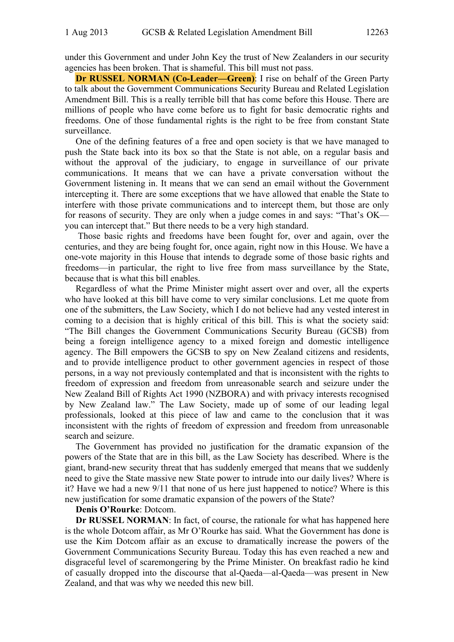under this Government and under John Key the trust of New Zealanders in our security agencies has been broken. That is shameful. This bill must not pass.

**Dr RUSSEL NORMAN (Co-Leader—Green)**: I rise on behalf of the Green Party to talk about the Government Communications Security Bureau and Related Legislation Amendment Bill. This is a really terrible bill that has come before this House. There are millions of people who have come before us to fight for basic democratic rights and freedoms. One of those fundamental rights is the right to be free from constant State surveillance.

One of the defining features of a free and open society is that we have managed to push the State back into its box so that the State is not able, on a regular basis and without the approval of the judiciary, to engage in surveillance of our private communications. It means that we can have a private conversation without the Government listening in. It means that we can send an email without the Government intercepting it. There are some exceptions that we have allowed that enable the State to interfere with those private communications and to intercept them, but those are only for reasons of security. They are only when a judge comes in and says: "That's OK you can intercept that." But there needs to be a very high standard.

 Those basic rights and freedoms have been fought for, over and again, over the centuries, and they are being fought for, once again, right now in this House. We have a one-vote majority in this House that intends to degrade some of those basic rights and freedoms—in particular, the right to live free from mass surveillance by the State, because that is what this bill enables.

Regardless of what the Prime Minister might assert over and over, all the experts who have looked at this bill have come to very similar conclusions. Let me quote from one of the submitters, the Law Society, which I do not believe had any vested interest in coming to a decision that is highly critical of this bill. This is what the society said: "The Bill changes the Government Communications Security Bureau (GCSB) from being a foreign intelligence agency to a mixed foreign and domestic intelligence agency. The Bill empowers the GCSB to spy on New Zealand citizens and residents, and to provide intelligence product to other government agencies in respect of those persons, in a way not previously contemplated and that is inconsistent with the rights to freedom of expression and freedom from unreasonable search and seizure under the New Zealand Bill of Rights Act 1990 (NZBORA) and with privacy interests recognised by New Zealand law." The Law Society, made up of some of our leading legal professionals, looked at this piece of law and came to the conclusion that it was inconsistent with the rights of freedom of expression and freedom from unreasonable search and seizure.

The Government has provided no justification for the dramatic expansion of the powers of the State that are in this bill, as the Law Society has described. Where is the giant, brand-new security threat that has suddenly emerged that means that we suddenly need to give the State massive new State power to intrude into our daily lives? Where is it? Have we had a new 9/11 that none of us here just happened to notice? Where is this new justification for some dramatic expansion of the powers of the State?

#### **Denis O'Rourke**: Dotcom.

**Dr RUSSEL NORMAN:** In fact, of course, the rationale for what has happened here is the whole Dotcom affair, as Mr O'Rourke has said. What the Government has done is use the Kim Dotcom affair as an excuse to dramatically increase the powers of the Government Communications Security Bureau. Today this has even reached a new and disgraceful level of scaremongering by the Prime Minister. On breakfast radio he kind of casually dropped into the discourse that al-Qaeda—al-Qaeda—was present in New Zealand, and that was why we needed this new bill.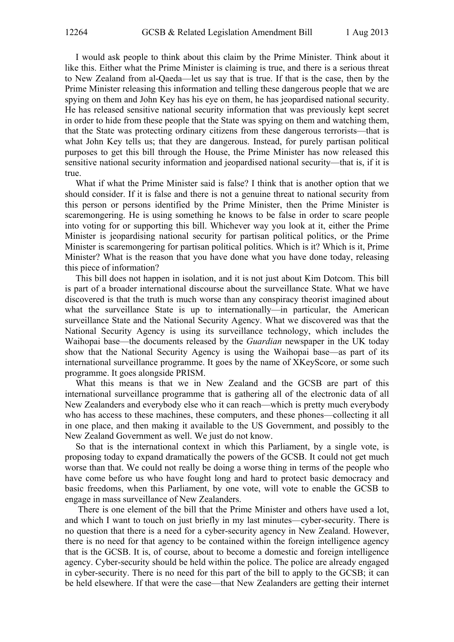I would ask people to think about this claim by the Prime Minister. Think about it like this. Either what the Prime Minister is claiming is true, and there is a serious threat to New Zealand from al-Qaeda—let us say that is true. If that is the case, then by the Prime Minister releasing this information and telling these dangerous people that we are spying on them and John Key has his eye on them, he has jeopardised national security. He has released sensitive national security information that was previously kept secret in order to hide from these people that the State was spying on them and watching them, that the State was protecting ordinary citizens from these dangerous terrorists—that is what John Key tells us; that they are dangerous. Instead, for purely partisan political purposes to get this bill through the House, the Prime Minister has now released this sensitive national security information and jeopardised national security—that is, if it is true.

What if what the Prime Minister said is false? I think that is another option that we should consider. If it is false and there is not a genuine threat to national security from this person or persons identified by the Prime Minister, then the Prime Minister is scaremongering. He is using something he knows to be false in order to scare people into voting for or supporting this bill. Whichever way you look at it, either the Prime Minister is jeopardising national security for partisan political politics, or the Prime Minister is scaremongering for partisan political politics. Which is it? Which is it, Prime Minister? What is the reason that you have done what you have done today, releasing this piece of information?

This bill does not happen in isolation, and it is not just about Kim Dotcom. This bill is part of a broader international discourse about the surveillance State. What we have discovered is that the truth is much worse than any conspiracy theorist imagined about what the surveillance State is up to internationally—in particular, the American surveillance State and the National Security Agency. What we discovered was that the National Security Agency is using its surveillance technology, which includes the Waihopai base—the documents released by the *Guardian* newspaper in the UK today show that the National Security Agency is using the Waihopai base—as part of its international surveillance programme. It goes by the name of XKeyScore, or some such programme. It goes alongside PRISM.

What this means is that we in New Zealand and the GCSB are part of this international surveillance programme that is gathering all of the electronic data of all New Zealanders and everybody else who it can reach—which is pretty much everybody who has access to these machines, these computers, and these phones—collecting it all in one place, and then making it available to the US Government, and possibly to the New Zealand Government as well. We just do not know.

So that is the international context in which this Parliament, by a single vote, is proposing today to expand dramatically the powers of the GCSB. It could not get much worse than that. We could not really be doing a worse thing in terms of the people who have come before us who have fought long and hard to protect basic democracy and basic freedoms, when this Parliament, by one vote, will vote to enable the GCSB to engage in mass surveillance of New Zealanders.

 There is one element of the bill that the Prime Minister and others have used a lot, and which I want to touch on just briefly in my last minutes—cyber-security. There is no question that there is a need for a cyber-security agency in New Zealand. However, there is no need for that agency to be contained within the foreign intelligence agency that is the GCSB. It is, of course, about to become a domestic and foreign intelligence agency. Cyber-security should be held within the police. The police are already engaged in cyber-security. There is no need for this part of the bill to apply to the GCSB; it can be held elsewhere. If that were the case—that New Zealanders are getting their internet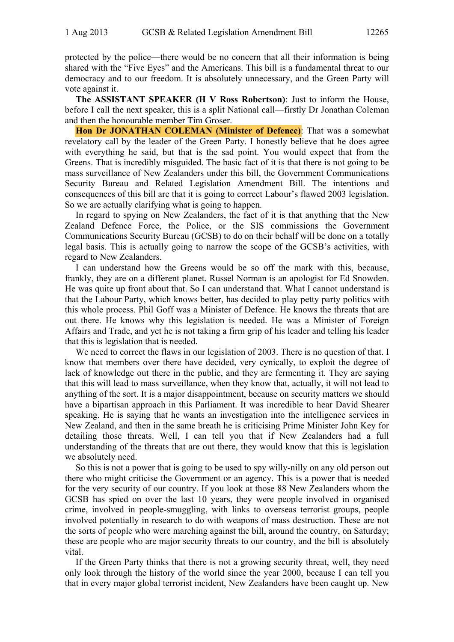protected by the police—there would be no concern that all their information is being shared with the "Five Eyes" and the Americans. This bill is a fundamental threat to our democracy and to our freedom. It is absolutely unnecessary, and the Green Party will vote against it.

**The ASSISTANT SPEAKER (H V Ross Robertson)**: Just to inform the House, before I call the next speaker, this is a split National call—firstly Dr Jonathan Coleman and then the honourable member Tim Groser.

**Hon Dr JONATHAN COLEMAN (Minister of Defence)**: That was a somewhat revelatory call by the leader of the Green Party. I honestly believe that he does agree with everything he said, but that is the sad point. You would expect that from the Greens. That is incredibly misguided. The basic fact of it is that there is not going to be mass surveillance of New Zealanders under this bill, the Government Communications Security Bureau and Related Legislation Amendment Bill. The intentions and consequences of this bill are that it is going to correct Labour's flawed 2003 legislation. So we are actually clarifying what is going to happen.

In regard to spying on New Zealanders, the fact of it is that anything that the New Zealand Defence Force, the Police, or the SIS commissions the Government Communications Security Bureau (GCSB) to do on their behalf will be done on a totally legal basis. This is actually going to narrow the scope of the GCSB's activities, with regard to New Zealanders.

I can understand how the Greens would be so off the mark with this, because, frankly, they are on a different planet. Russel Norman is an apologist for Ed Snowden. He was quite up front about that. So I can understand that. What I cannot understand is that the Labour Party, which knows better, has decided to play petty party politics with this whole process. Phil Goff was a Minister of Defence. He knows the threats that are out there. He knows why this legislation is needed. He was a Minister of Foreign Affairs and Trade, and yet he is not taking a firm grip of his leader and telling his leader that this is legislation that is needed.

We need to correct the flaws in our legislation of 2003. There is no question of that. I know that members over there have decided, very cynically, to exploit the degree of lack of knowledge out there in the public, and they are fermenting it. They are saying that this will lead to mass surveillance, when they know that, actually, it will not lead to anything of the sort. It is a major disappointment, because on security matters we should have a bipartisan approach in this Parliament. It was incredible to hear David Shearer speaking. He is saying that he wants an investigation into the intelligence services in New Zealand, and then in the same breath he is criticising Prime Minister John Key for detailing those threats. Well, I can tell you that if New Zealanders had a full understanding of the threats that are out there, they would know that this is legislation we absolutely need.

So this is not a power that is going to be used to spy willy-nilly on any old person out there who might criticise the Government or an agency. This is a power that is needed for the very security of our country. If you look at those 88 New Zealanders whom the GCSB has spied on over the last 10 years, they were people involved in organised crime, involved in people-smuggling, with links to overseas terrorist groups, people involved potentially in research to do with weapons of mass destruction. These are not the sorts of people who were marching against the bill, around the country, on Saturday; these are people who are major security threats to our country, and the bill is absolutely vital.

If the Green Party thinks that there is not a growing security threat, well, they need only look through the history of the world since the year 2000, because I can tell you that in every major global terrorist incident, New Zealanders have been caught up. New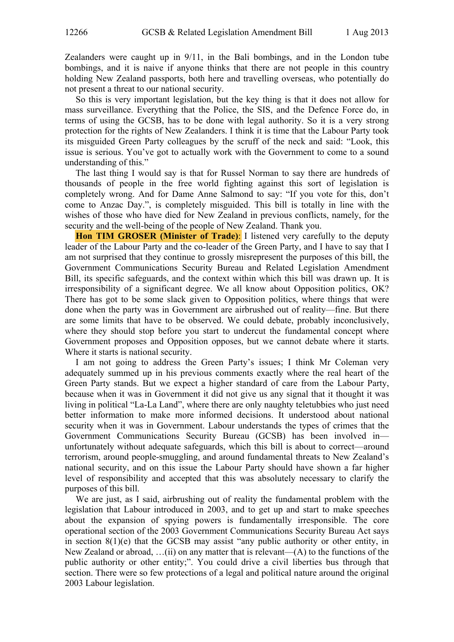Zealanders were caught up in 9/11, in the Bali bombings, and in the London tube bombings, and it is naive if anyone thinks that there are not people in this country holding New Zealand passports, both here and travelling overseas, who potentially do not present a threat to our national security.

So this is very important legislation, but the key thing is that it does not allow for mass surveillance. Everything that the Police, the SIS, and the Defence Force do, in terms of using the GCSB, has to be done with legal authority. So it is a very strong protection for the rights of New Zealanders. I think it is time that the Labour Party took its misguided Green Party colleagues by the scruff of the neck and said: "Look, this issue is serious. You've got to actually work with the Government to come to a sound understanding of this."

The last thing I would say is that for Russel Norman to say there are hundreds of thousands of people in the free world fighting against this sort of legislation is completely wrong. And for Dame Anne Salmond to say: "If you vote for this, don't come to Anzac Day.", is completely misguided. This bill is totally in line with the wishes of those who have died for New Zealand in previous conflicts, namely, for the security and the well-being of the people of New Zealand. Thank you.

**Hon TIM GROSER (Minister of Trade)**: I listened very carefully to the deputy leader of the Labour Party and the co-leader of the Green Party, and I have to say that I am not surprised that they continue to grossly misrepresent the purposes of this bill, the Government Communications Security Bureau and Related Legislation Amendment Bill, its specific safeguards, and the context within which this bill was drawn up. It is irresponsibility of a significant degree. We all know about Opposition politics, OK? There has got to be some slack given to Opposition politics, where things that were done when the party was in Government are airbrushed out of reality—fine. But there are some limits that have to be observed. We could debate, probably inconclusively, where they should stop before you start to undercut the fundamental concept where Government proposes and Opposition opposes, but we cannot debate where it starts. Where it starts is national security.

I am not going to address the Green Party's issues; I think Mr Coleman very adequately summed up in his previous comments exactly where the real heart of the Green Party stands. But we expect a higher standard of care from the Labour Party, because when it was in Government it did not give us any signal that it thought it was living in political "La-La Land", where there are only naughty teletubbies who just need better information to make more informed decisions. It understood about national security when it was in Government. Labour understands the types of crimes that the Government Communications Security Bureau (GCSB) has been involved in unfortunately without adequate safeguards, which this bill is about to correct—around terrorism, around people-smuggling, and around fundamental threats to New Zealand's national security, and on this issue the Labour Party should have shown a far higher level of responsibility and accepted that this was absolutely necessary to clarify the purposes of this bill.

We are just, as I said, airbrushing out of reality the fundamental problem with the legislation that Labour introduced in 2003, and to get up and start to make speeches about the expansion of spying powers is fundamentally irresponsible. The core operational section of the 2003 Government Communications Security Bureau Act says in section 8(1)(e) that the GCSB may assist "any public authority or other entity, in New Zealand or abroad,  $\dots$  (ii) on any matter that is relevant—(A) to the functions of the public authority or other entity;". You could drive a civil liberties bus through that section. There were so few protections of a legal and political nature around the original 2003 Labour legislation.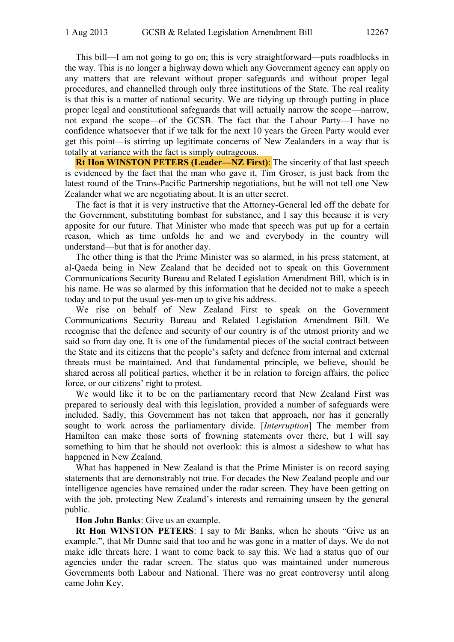This bill—I am not going to go on; this is very straightforward—puts roadblocks in the way. This is no longer a highway down which any Government agency can apply on any matters that are relevant without proper safeguards and without proper legal procedures, and channelled through only three institutions of the State. The real reality is that this is a matter of national security. We are tidying up through putting in place proper legal and constitutional safeguards that will actually narrow the scope—narrow, not expand the scope—of the GCSB. The fact that the Labour Party—I have no confidence whatsoever that if we talk for the next 10 years the Green Party would ever get this point—is stirring up legitimate concerns of New Zealanders in a way that is totally at variance with the fact is simply outrageous.

**Rt Hon WINSTON PETERS (Leader—NZ First)**: The sincerity of that last speech is evidenced by the fact that the man who gave it, Tim Groser, is just back from the latest round of the Trans-Pacific Partnership negotiations, but he will not tell one New Zealander what we are negotiating about. It is an utter secret.

The fact is that it is very instructive that the Attorney-General led off the debate for the Government, substituting bombast for substance, and I say this because it is very apposite for our future. That Minister who made that speech was put up for a certain reason, which as time unfolds he and we and everybody in the country will understand—but that is for another day.

The other thing is that the Prime Minister was so alarmed, in his press statement, at al-Qaeda being in New Zealand that he decided not to speak on this Government Communications Security Bureau and Related Legislation Amendment Bill, which is in his name. He was so alarmed by this information that he decided not to make a speech today and to put the usual yes-men up to give his address.

We rise on behalf of New Zealand First to speak on the Government Communications Security Bureau and Related Legislation Amendment Bill. We recognise that the defence and security of our country is of the utmost priority and we said so from day one. It is one of the fundamental pieces of the social contract between the State and its citizens that the people's safety and defence from internal and external threats must be maintained. And that fundamental principle, we believe, should be shared across all political parties, whether it be in relation to foreign affairs, the police force, or our citizens' right to protest.

We would like it to be on the parliamentary record that New Zealand First was prepared to seriously deal with this legislation, provided a number of safeguards were included. Sadly, this Government has not taken that approach, nor has it generally sought to work across the parliamentary divide. [*Interruption*] The member from Hamilton can make those sorts of frowning statements over there, but I will say something to him that he should not overlook: this is almost a sideshow to what has happened in New Zealand.

What has happened in New Zealand is that the Prime Minister is on record saying statements that are demonstrably not true. For decades the New Zealand people and our intelligence agencies have remained under the radar screen. They have been getting on with the job, protecting New Zealand's interests and remaining unseen by the general public.

## **Hon John Banks**: Give us an example.

**Rt Hon WINSTON PETERS**: I say to Mr Banks, when he shouts "Give us an example.", that Mr Dunne said that too and he was gone in a matter of days. We do not make idle threats here. I want to come back to say this. We had a status quo of our agencies under the radar screen. The status quo was maintained under numerous Governments both Labour and National. There was no great controversy until along came John Key.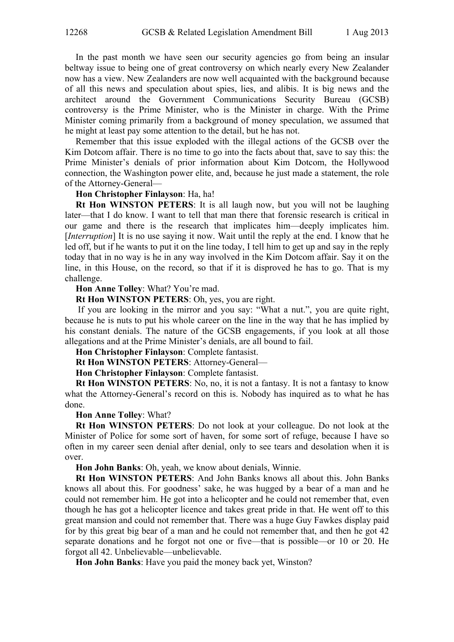In the past month we have seen our security agencies go from being an insular beltway issue to being one of great controversy on which nearly every New Zealander now has a view. New Zealanders are now well acquainted with the background because of all this news and speculation about spies, lies, and alibis. It is big news and the architect around the Government Communications Security Bureau (GCSB) controversy is the Prime Minister, who is the Minister in charge. With the Prime Minister coming primarily from a background of money speculation, we assumed that he might at least pay some attention to the detail, but he has not.

Remember that this issue exploded with the illegal actions of the GCSB over the Kim Dotcom affair. There is no time to go into the facts about that, save to say this: the Prime Minister's denials of prior information about Kim Dotcom, the Hollywood connection, the Washington power elite, and, because he just made a statement, the role of the Attorney-General—

## **Hon Christopher Finlayson**: Ha, ha!

**Rt Hon WINSTON PETERS**: It is all laugh now, but you will not be laughing later—that I do know. I want to tell that man there that forensic research is critical in our game and there is the research that implicates him—deeply implicates him. [*Interruption*] It is no use saying it now. Wait until the reply at the end. I know that he led off, but if he wants to put it on the line today, I tell him to get up and say in the reply today that in no way is he in any way involved in the Kim Dotcom affair. Say it on the line, in this House, on the record, so that if it is disproved he has to go. That is my challenge.

# **Hon Anne Tolley**: What? You're mad.

**Rt Hon WINSTON PETERS**: Oh, yes, you are right.

 If you are looking in the mirror and you say: "What a nut.", you are quite right, because he is nuts to put his whole career on the line in the way that he has implied by his constant denials. The nature of the GCSB engagements, if you look at all those allegations and at the Prime Minister's denials, are all bound to fail.

**Hon Christopher Finlayson**: Complete fantasist.

**Rt Hon WINSTON PETERS**: Attorney-General—

**Hon Christopher Finlayson**: Complete fantasist.

**Rt Hon WINSTON PETERS**: No, no, it is not a fantasy. It is not a fantasy to know what the Attorney-General's record on this is. Nobody has inquired as to what he has done.

#### **Hon Anne Tolley**: What?

**Rt Hon WINSTON PETERS**: Do not look at your colleague. Do not look at the Minister of Police for some sort of haven, for some sort of refuge, because I have so often in my career seen denial after denial, only to see tears and desolation when it is over.

**Hon John Banks**: Oh, yeah, we know about denials, Winnie.

**Rt Hon WINSTON PETERS**: And John Banks knows all about this. John Banks knows all about this. For goodness' sake, he was hugged by a bear of a man and he could not remember him. He got into a helicopter and he could not remember that, even though he has got a helicopter licence and takes great pride in that. He went off to this great mansion and could not remember that. There was a huge Guy Fawkes display paid for by this great big bear of a man and he could not remember that, and then he got 42 separate donations and he forgot not one or five—that is possible—or 10 or 20. He forgot all 42. Unbelievable—unbelievable.

**Hon John Banks**: Have you paid the money back yet, Winston?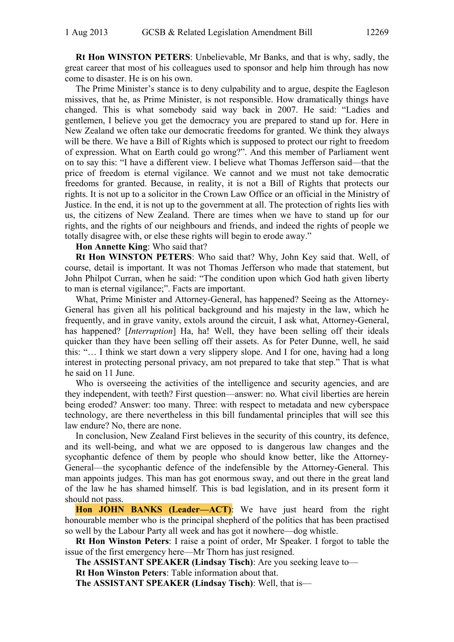**Rt Hon WINSTON PETERS**: Unbelievable, Mr Banks, and that is why, sadly, the great career that most of his colleagues used to sponsor and help him through has now come to disaster. He is on his own.

The Prime Minister's stance is to deny culpability and to argue, despite the Eagleson missives, that he, as Prime Minister, is not responsible. How dramatically things have changed. This is what somebody said way back in 2007. He said: "Ladies and gentlemen, I believe you get the democracy you are prepared to stand up for. Here in New Zealand we often take our democratic freedoms for granted. We think they always will be there. We have a Bill of Rights which is supposed to protect our right to freedom of expression. What on Earth could go wrong?". And this member of Parliament went on to say this: "I have a different view. I believe what Thomas Jefferson said—that the price of freedom is eternal vigilance. We cannot and we must not take democratic freedoms for granted. Because, in reality, it is not a Bill of Rights that protects our rights. It is not up to a solicitor in the Crown Law Office or an official in the Ministry of Justice. In the end, it is not up to the government at all. The protection of rights lies with us, the citizens of New Zealand. There are times when we have to stand up for our rights, and the rights of our neighbours and friends, and indeed the rights of people we totally disagree with, or else these rights will begin to erode away."

# **Hon Annette King**: Who said that?

**Rt Hon WINSTON PETERS**: Who said that? Why, John Key said that. Well, of course, detail is important. It was not Thomas Jefferson who made that statement, but John Philpot Curran, when he said: "The condition upon which God hath given liberty to man is eternal vigilance;". Facts are important.

What, Prime Minister and Attorney-General, has happened? Seeing as the Attorney-General has given all his political background and his majesty in the law, which he frequently, and in grave vanity, extols around the circuit, I ask what, Attorney-General, has happened? [*Interruption*] Ha, ha! Well, they have been selling off their ideals quicker than they have been selling off their assets. As for Peter Dunne, well, he said this: "… I think we start down a very slippery slope. And I for one, having had a long interest in protecting personal privacy, am not prepared to take that step." That is what he said on 11 June.

Who is overseeing the activities of the intelligence and security agencies, and are they independent, with teeth? First question—answer: no. What civil liberties are herein being eroded? Answer: too many. Three: with respect to metadata and new cyberspace technology, are there nevertheless in this bill fundamental principles that will see this law endure? No, there are none.

In conclusion, New Zealand First believes in the security of this country, its defence, and its well-being, and what we are opposed to is dangerous law changes and the sycophantic defence of them by people who should know better, like the Attorney-General—the sycophantic defence of the indefensible by the Attorney-General. This man appoints judges. This man has got enormous sway, and out there in the great land of the law he has shamed himself. This is bad legislation, and in its present form it should not pass.

**Hon JOHN BANKS (Leader—ACT)**: We have just heard from the right honourable member who is the principal shepherd of the politics that has been practised so well by the Labour Party all week and has got it nowhere—dog whistle.

**Rt Hon Winston Peters**: I raise a point of order, Mr Speaker. I forgot to table the issue of the first emergency here—Mr Thorn has just resigned.

**The ASSISTANT SPEAKER (Lindsay Tisch)**: Are you seeking leave to—

**Rt Hon Winston Peters**: Table information about that.

**The ASSISTANT SPEAKER (Lindsay Tisch)**: Well, that is—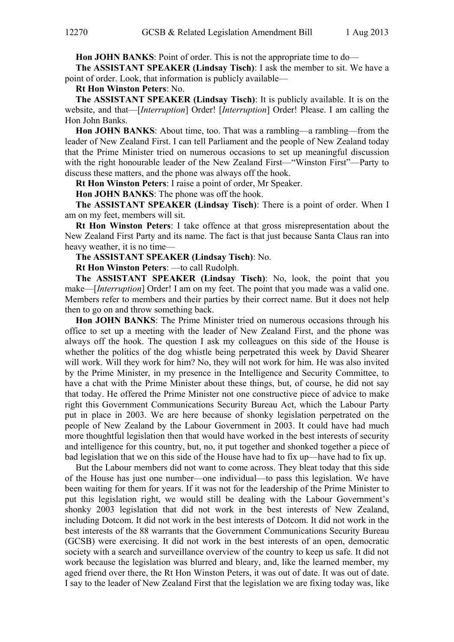**Hon JOHN BANKS**: Point of order. This is not the appropriate time to do—

**The ASSISTANT SPEAKER (Lindsay Tisch)**: I ask the member to sit. We have a point of order. Look, that information is publicly available—

**Rt Hon Winston Peters**: No.

**The ASSISTANT SPEAKER (Lindsay Tisch)**: It is publicly available. It is on the website, and that—[*Interruption*] Order! [*Interruption*] Order! Please. I am calling the Hon John Banks.

**Hon JOHN BANKS**: About time, too. That was a rambling—a rambling—from the leader of New Zealand First. I can tell Parliament and the people of New Zealand today that the Prime Minister tried on numerous occasions to set up meaningful discussion with the right honourable leader of the New Zealand First—"Winston First"—Party to discuss these matters, and the phone was always off the hook.

**Rt Hon Winston Peters**: I raise a point of order, Mr Speaker.

**Hon JOHN BANKS**: The phone was off the hook.

**The ASSISTANT SPEAKER (Lindsay Tisch)**: There is a point of order. When I am on my feet, members will sit.

**Rt Hon Winston Peters**: I take offence at that gross misrepresentation about the New Zealand First Party and its name. The fact is that just because Santa Claus ran into heavy weather, it is no time—

**The ASSISTANT SPEAKER (Lindsay Tisch)**: No.

**Rt Hon Winston Peters**: —to call Rudolph.

**The ASSISTANT SPEAKER (Lindsay Tisch)**: No, look, the point that you make—[*Interruption*] Order! I am on my feet. The point that you made was a valid one. Members refer to members and their parties by their correct name. But it does not help then to go on and throw something back.

**Hon JOHN BANKS**: The Prime Minister tried on numerous occasions through his office to set up a meeting with the leader of New Zealand First, and the phone was always off the hook. The question I ask my colleagues on this side of the House is whether the politics of the dog whistle being perpetrated this week by David Shearer will work. Will they work for him? No, they will not work for him. He was also invited by the Prime Minister, in my presence in the Intelligence and Security Committee, to have a chat with the Prime Minister about these things, but, of course, he did not say that today. He offered the Prime Minister not one constructive piece of advice to make right this Government Communications Security Bureau Act, which the Labour Party put in place in 2003. We are here because of shonky legislation perpetrated on the people of New Zealand by the Labour Government in 2003. It could have had much more thoughtful legislation then that would have worked in the best interests of security and intelligence for this country, but, no, it put together and shonked together a piece of bad legislation that we on this side of the House have had to fix up—have had to fix up.

But the Labour members did not want to come across. They bleat today that this side of the House has just one number—one individual—to pass this legislation. We have been waiting for them for years. If it was not for the leadership of the Prime Minister to put this legislation right, we would still be dealing with the Labour Government's shonky 2003 legislation that did not work in the best interests of New Zealand, including Dotcom. It did not work in the best interests of Dotcom. It did not work in the best interests of the 88 warrants that the Government Communications Security Bureau (GCSB) were exercising. It did not work in the best interests of an open, democratic society with a search and surveillance overview of the country to keep us safe. It did not work because the legislation was blurred and bleary, and, like the learned member, my aged friend over there, the Rt Hon Winston Peters, it was out of date. It was out of date. I say to the leader of New Zealand First that the legislation we are fixing today was, like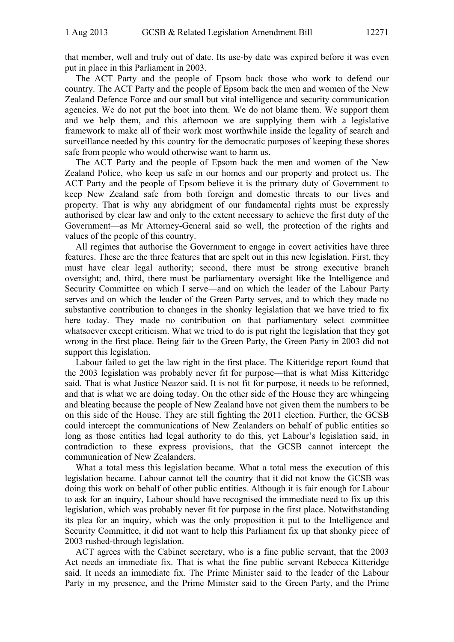that member, well and truly out of date. Its use-by date was expired before it was even put in place in this Parliament in 2003.

The ACT Party and the people of Epsom back those who work to defend our country. The ACT Party and the people of Epsom back the men and women of the New Zealand Defence Force and our small but vital intelligence and security communication agencies. We do not put the boot into them. We do not blame them. We support them and we help them, and this afternoon we are supplying them with a legislative framework to make all of their work most worthwhile inside the legality of search and surveillance needed by this country for the democratic purposes of keeping these shores safe from people who would otherwise want to harm us.

The ACT Party and the people of Epsom back the men and women of the New Zealand Police, who keep us safe in our homes and our property and protect us. The ACT Party and the people of Epsom believe it is the primary duty of Government to keep New Zealand safe from both foreign and domestic threats to our lives and property. That is why any abridgment of our fundamental rights must be expressly authorised by clear law and only to the extent necessary to achieve the first duty of the Government—as Mr Attorney-General said so well, the protection of the rights and values of the people of this country.

All regimes that authorise the Government to engage in covert activities have three features. These are the three features that are spelt out in this new legislation. First, they must have clear legal authority; second, there must be strong executive branch oversight; and, third, there must be parliamentary oversight like the Intelligence and Security Committee on which I serve—and on which the leader of the Labour Party serves and on which the leader of the Green Party serves, and to which they made no substantive contribution to changes in the shonky legislation that we have tried to fix here today. They made no contribution on that parliamentary select committee whatsoever except criticism. What we tried to do is put right the legislation that they got wrong in the first place. Being fair to the Green Party, the Green Party in 2003 did not support this legislation.

Labour failed to get the law right in the first place. The Kitteridge report found that the 2003 legislation was probably never fit for purpose—that is what Miss Kitteridge said. That is what Justice Neazor said. It is not fit for purpose, it needs to be reformed, and that is what we are doing today. On the other side of the House they are whingeing and bleating because the people of New Zealand have not given them the numbers to be on this side of the House. They are still fighting the 2011 election. Further, the GCSB could intercept the communications of New Zealanders on behalf of public entities so long as those entities had legal authority to do this, yet Labour's legislation said, in contradiction to these express provisions, that the GCSB cannot intercept the communication of New Zealanders.

What a total mess this legislation became. What a total mess the execution of this legislation became. Labour cannot tell the country that it did not know the GCSB was doing this work on behalf of other public entities. Although it is fair enough for Labour to ask for an inquiry, Labour should have recognised the immediate need to fix up this legislation, which was probably never fit for purpose in the first place. Notwithstanding its plea for an inquiry, which was the only proposition it put to the Intelligence and Security Committee, it did not want to help this Parliament fix up that shonky piece of 2003 rushed-through legislation.

ACT agrees with the Cabinet secretary, who is a fine public servant, that the 2003 Act needs an immediate fix. That is what the fine public servant Rebecca Kitteridge said. It needs an immediate fix. The Prime Minister said to the leader of the Labour Party in my presence, and the Prime Minister said to the Green Party, and the Prime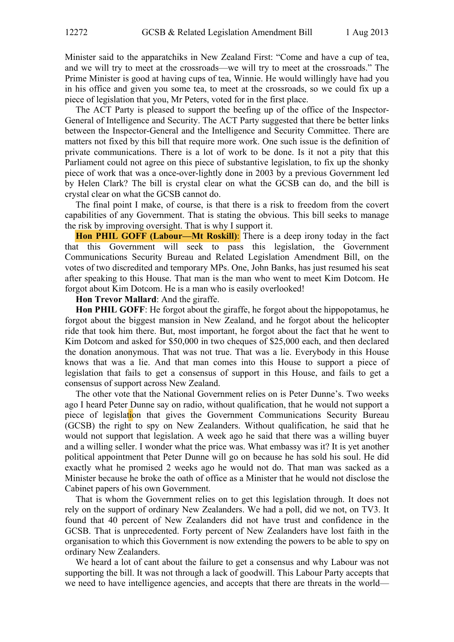Minister said to the apparatchiks in New Zealand First: "Come and have a cup of tea, and we will try to meet at the crossroads—we will try to meet at the crossroads." The Prime Minister is good at having cups of tea, Winnie. He would willingly have had you in his office and given you some tea, to meet at the crossroads, so we could fix up a piece of legislation that you, Mr Peters, voted for in the first place.

The ACT Party is pleased to support the beefing up of the office of the Inspector-General of Intelligence and Security. The ACT Party suggested that there be better links between the Inspector-General and the Intelligence and Security Committee. There are matters not fixed by this bill that require more work. One such issue is the definition of private communications. There is a lot of work to be done. Is it not a pity that this Parliament could not agree on this piece of substantive legislation, to fix up the shonky piece of work that was a once-over-lightly done in 2003 by a previous Government led by Helen Clark? The bill is crystal clear on what the GCSB can do, and the bill is crystal clear on what the GCSB cannot do.

The final point I make, of course, is that there is a risk to freedom from the covert capabilities of any Government. That is stating the obvious. This bill seeks to manage the risk by improving oversight. That is why I support it.

**Hon PHIL GOFF (Labour—Mt Roskill)**: There is a deep irony today in the fact that this Government will seek to pass this legislation, the Government Communications Security Bureau and Related Legislation Amendment Bill, on the votes of two discredited and temporary MPs. One, John Banks, has just resumed his seat after speaking to this House. That man is the man who went to meet Kim Dotcom. He forgot about Kim Dotcom. He is a man who is easily overlooked!

**Hon Trevor Mallard**: And the giraffe.

**Hon PHIL GOFF**: He forgot about the giraffe, he forgot about the hippopotamus, he forgot about the biggest mansion in New Zealand, and he forgot about the helicopter ride that took him there. But, most important, he forgot about the fact that he went to Kim Dotcom and asked for \$50,000 in two cheques of \$25,000 each, and then declared the donation anonymous. That was not true. That was a lie. Everybody in this House knows that was a lie. And that man comes into this House to support a piece of legislation that fails to get a consensus of support in this House, and fails to get a consensus of support across New Zealand.

The other vote that the National Government relies on is Peter Dunne's. Two weeks ago I heard Peter Dunne say on radio, without qualification, that he would not support a piece of legislation that gives the Government Communications Security Bureau (GCSB) the right to spy on New Zealanders. Without qualification, he said that he would not support that legislation. A week ago he said that there was a willing buyer and a willing seller. I wonder what the price was. What embassy was it? It is yet another political appointment that Peter Dunne will go on because he has sold his soul. He did exactly what he promised 2 weeks ago he would not do. That man was sacked as a Minister because he broke the oath of office as a Minister that he would not disclose the Cabinet papers of his own Government.

That is whom the Government relies on to get this legislation through. It does not rely on the support of ordinary New Zealanders. We had a poll, did we not, on TV3. It found that 40 percent of New Zealanders did not have trust and confidence in the GCSB. That is unprecedented. Forty percent of New Zealanders have lost faith in the organisation to which this Government is now extending the powers to be able to spy on ordinary New Zealanders.

We heard a lot of cant about the failure to get a consensus and why Labour was not supporting the bill. It was not through a lack of goodwill. This Labour Party accepts that we need to have intelligence agencies, and accepts that there are threats in the world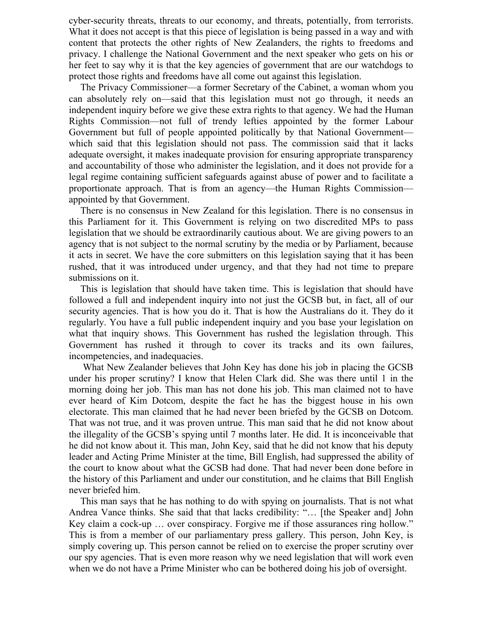cyber-security threats, threats to our economy, and threats, potentially, from terrorists. What it does not accept is that this piece of legislation is being passed in a way and with content that protects the other rights of New Zealanders, the rights to freedoms and privacy. I challenge the National Government and the next speaker who gets on his or her feet to say why it is that the key agencies of government that are our watchdogs to protect those rights and freedoms have all come out against this legislation.

The Privacy Commissioner—a former Secretary of the Cabinet, a woman whom you can absolutely rely on—said that this legislation must not go through, it needs an independent inquiry before we give these extra rights to that agency. We had the Human Rights Commission—not full of trendy lefties appointed by the former Labour Government but full of people appointed politically by that National Government which said that this legislation should not pass. The commission said that it lacks adequate oversight, it makes inadequate provision for ensuring appropriate transparency and accountability of those who administer the legislation, and it does not provide for a legal regime containing sufficient safeguards against abuse of power and to facilitate a proportionate approach. That is from an agency—the Human Rights Commission appointed by that Government.

There is no consensus in New Zealand for this legislation. There is no consensus in this Parliament for it. This Government is relying on two discredited MPs to pass legislation that we should be extraordinarily cautious about. We are giving powers to an agency that is not subject to the normal scrutiny by the media or by Parliament, because it acts in secret. We have the core submitters on this legislation saying that it has been rushed, that it was introduced under urgency, and that they had not time to prepare submissions on it.

This is legislation that should have taken time. This is legislation that should have followed a full and independent inquiry into not just the GCSB but, in fact, all of our security agencies. That is how you do it. That is how the Australians do it. They do it regularly. You have a full public independent inquiry and you base your legislation on what that inquiry shows. This Government has rushed the legislation through. This Government has rushed it through to cover its tracks and its own failures, incompetencies, and inadequacies.

 What New Zealander believes that John Key has done his job in placing the GCSB under his proper scrutiny? I know that Helen Clark did. She was there until 1 in the morning doing her job. This man has not done his job. This man claimed not to have ever heard of Kim Dotcom, despite the fact he has the biggest house in his own electorate. This man claimed that he had never been briefed by the GCSB on Dotcom. That was not true, and it was proven untrue. This man said that he did not know about the illegality of the GCSB's spying until 7 months later. He did. It is inconceivable that he did not know about it. This man, John Key, said that he did not know that his deputy leader and Acting Prime Minister at the time, Bill English, had suppressed the ability of the court to know about what the GCSB had done. That had never been done before in the history of this Parliament and under our constitution, and he claims that Bill English never briefed him.

This man says that he has nothing to do with spying on journalists. That is not what Andrea Vance thinks. She said that that lacks credibility: "… [the Speaker and] John Key claim a cock-up … over conspiracy. Forgive me if those assurances ring hollow." This is from a member of our parliamentary press gallery. This person, John Key, is simply covering up. This person cannot be relied on to exercise the proper scrutiny over our spy agencies. That is even more reason why we need legislation that will work even when we do not have a Prime Minister who can be bothered doing his job of oversight.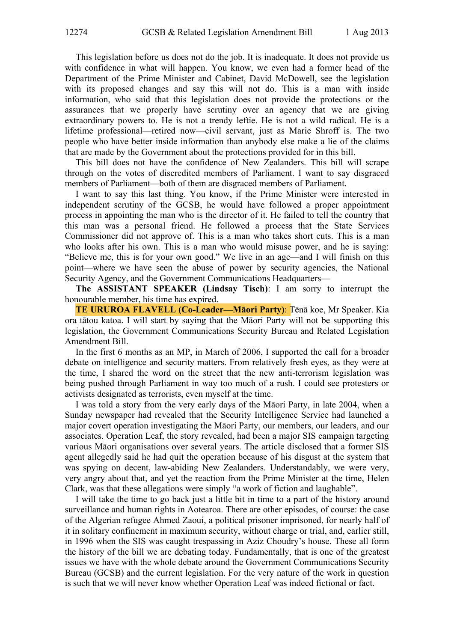This legislation before us does not do the job. It is inadequate. It does not provide us with confidence in what will happen. You know, we even had a former head of the Department of the Prime Minister and Cabinet, David McDowell, see the legislation with its proposed changes and say this will not do. This is a man with inside information, who said that this legislation does not provide the protections or the assurances that we properly have scrutiny over an agency that we are giving extraordinary powers to. He is not a trendy leftie. He is not a wild radical. He is a lifetime professional—retired now—civil servant, just as Marie Shroff is. The two people who have better inside information than anybody else make a lie of the claims that are made by the Government about the protections provided for in this bill.

This bill does not have the confidence of New Zealanders. This bill will scrape through on the votes of discredited members of Parliament. I want to say disgraced members of Parliament—both of them are disgraced members of Parliament.

I want to say this last thing. You know, if the Prime Minister were interested in independent scrutiny of the GCSB, he would have followed a proper appointment process in appointing the man who is the director of it. He failed to tell the country that this man was a personal friend. He followed a process that the State Services Commissioner did not approve of. This is a man who takes short cuts. This is a man who looks after his own. This is a man who would misuse power, and he is saying: "Believe me, this is for your own good." We live in an age—and I will finish on this point—where we have seen the abuse of power by security agencies, the National Security Agency, and the Government Communications Headquarters—

**The ASSISTANT SPEAKER (Lindsay Tisch)**: I am sorry to interrupt the honourable member, his time has expired.

**TE URUROA FLAVELL (Co-Leader—Māori Party)**: TƝnā koe, Mr Speaker. Kia ora tātou katoa. I will start by saying that the Māori Party will not be supporting this legislation, the Government Communications Security Bureau and Related Legislation Amendment Bill.

In the first 6 months as an MP, in March of 2006, I supported the call for a broader debate on intelligence and security matters. From relatively fresh eyes, as they were at the time, I shared the word on the street that the new anti-terrorism legislation was being pushed through Parliament in way too much of a rush. I could see protesters or activists designated as terrorists, even myself at the time.

I was told a story from the very early days of the Māori Party, in late 2004, when a Sunday newspaper had revealed that the Security Intelligence Service had launched a major covert operation investigating the Māori Party, our members, our leaders, and our associates. Operation Leaf, the story revealed, had been a major SIS campaign targeting various Māori organisations over several years. The article disclosed that a former SIS agent allegedly said he had quit the operation because of his disgust at the system that was spying on decent, law-abiding New Zealanders. Understandably, we were very, very angry about that, and yet the reaction from the Prime Minister at the time, Helen Clark, was that these allegations were simply "a work of fiction and laughable".

I will take the time to go back just a little bit in time to a part of the history around surveillance and human rights in Aotearoa. There are other episodes, of course: the case of the Algerian refugee Ahmed Zaoui, a political prisoner imprisoned, for nearly half of it in solitary confinement in maximum security, without charge or trial, and, earlier still, in 1996 when the SIS was caught trespassing in Aziz Choudry's house. These all form the history of the bill we are debating today. Fundamentally, that is one of the greatest issues we have with the whole debate around the Government Communications Security Bureau (GCSB) and the current legislation. For the very nature of the work in question is such that we will never know whether Operation Leaf was indeed fictional or fact.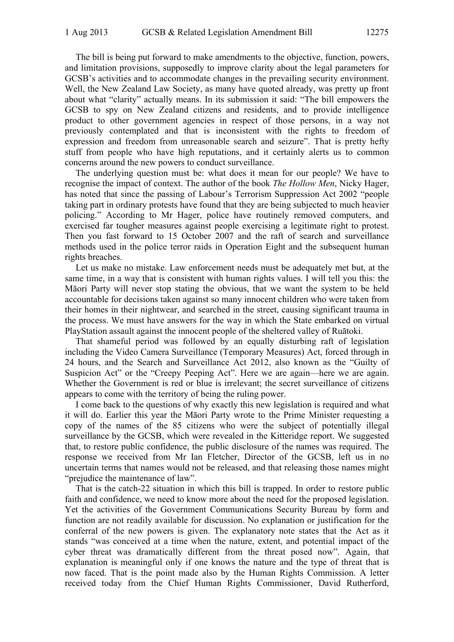The bill is being put forward to make amendments to the objective, function, powers, and limitation provisions, supposedly to improve clarity about the legal parameters for GCSB's activities and to accommodate changes in the prevailing security environment. Well, the New Zealand Law Society, as many have quoted already, was pretty up front about what "clarity" actually means. In its submission it said: "The bill empowers the GCSB to spy on New Zealand citizens and residents, and to provide intelligence product to other government agencies in respect of those persons, in a way not previously contemplated and that is inconsistent with the rights to freedom of expression and freedom from unreasonable search and seizure". That is pretty hefty stuff from people who have high reputations, and it certainly alerts us to common concerns around the new powers to conduct surveillance.

The underlying question must be: what does it mean for our people? We have to recognise the impact of context. The author of the book *The Hollow Men*, Nicky Hager, has noted that since the passing of Labour's Terrorism Suppression Act 2002 "people taking part in ordinary protests have found that they are being subjected to much heavier policing." According to Mr Hager, police have routinely removed computers, and exercised far tougher measures against people exercising a legitimate right to protest. Then you fast forward to 15 October 2007 and the raft of search and surveillance methods used in the police terror raids in Operation Eight and the subsequent human rights breaches.

Let us make no mistake. Law enforcement needs must be adequately met but, at the same time, in a way that is consistent with human rights values. I will tell you this: the Māori Party will never stop stating the obvious, that we want the system to be held accountable for decisions taken against so many innocent children who were taken from their homes in their nightwear, and searched in the street, causing significant trauma in the process. We must have answers for the way in which the State embarked on virtual PlayStation assault against the innocent people of the sheltered valley of Ruātoki.

That shameful period was followed by an equally disturbing raft of legislation including the Video Camera Surveillance (Temporary Measures) Act, forced through in 24 hours, and the Search and Surveillance Act 2012, also known as the "Guilty of Suspicion Act" or the "Creepy Peeping Act". Here we are again—here we are again. Whether the Government is red or blue is irrelevant; the secret surveillance of citizens appears to come with the territory of being the ruling power.

I come back to the questions of why exactly this new legislation is required and what it will do. Earlier this year the Māori Party wrote to the Prime Minister requesting a copy of the names of the 85 citizens who were the subject of potentially illegal surveillance by the GCSB, which were revealed in the Kitteridge report. We suggested that, to restore public confidence, the public disclosure of the names was required. The response we received from Mr Ian Fletcher, Director of the GCSB, left us in no uncertain terms that names would not be released, and that releasing those names might "prejudice the maintenance of law".

That is the catch-22 situation in which this bill is trapped. In order to restore public faith and confidence, we need to know more about the need for the proposed legislation. Yet the activities of the Government Communications Security Bureau by form and function are not readily available for discussion. No explanation or justification for the conferral of the new powers is given. The explanatory note states that the Act as it stands "was conceived at a time when the nature, extent, and potential impact of the cyber threat was dramatically different from the threat posed now". Again, that explanation is meaningful only if one knows the nature and the type of threat that is now faced. That is the point made also by the Human Rights Commission. A letter received today from the Chief Human Rights Commissioner, David Rutherford,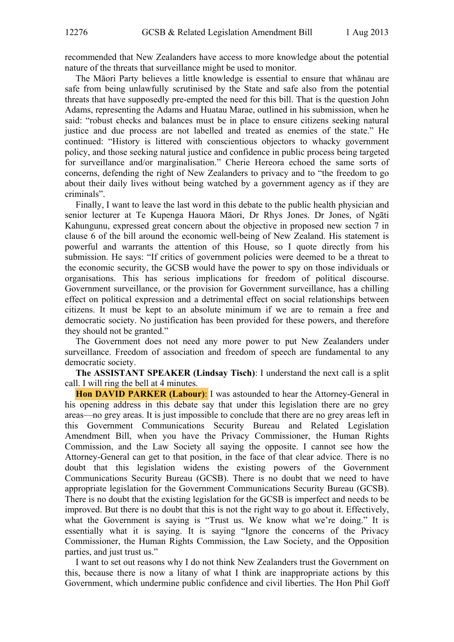recommended that New Zealanders have access to more knowledge about the potential nature of the threats that surveillance might be used to monitor.

The Māori Party believes a little knowledge is essential to ensure that whānau are safe from being unlawfully scrutinised by the State and safe also from the potential threats that have supposedly pre-empted the need for this bill. That is the question John Adams, representing the Adams and Huatau Marae, outlined in his submission, when he said: "robust checks and balances must be in place to ensure citizens seeking natural justice and due process are not labelled and treated as enemies of the state." He continued: "History is littered with conscientious objectors to whacky government policy, and those seeking natural justice and confidence in public process being targeted for surveillance and/or marginalisation." Cherie Hereora echoed the same sorts of concerns, defending the right of New Zealanders to privacy and to "the freedom to go about their daily lives without being watched by a government agency as if they are criminals".

Finally, I want to leave the last word in this debate to the public health physician and senior lecturer at Te Kupenga Hauora Māori, Dr Rhys Jones. Dr Jones, of Ngāti Kahungunu, expressed great concern about the objective in proposed new section 7 in clause 6 of the bill around the economic well-being of New Zealand. His statement is powerful and warrants the attention of this House, so I quote directly from his submission. He says: "If critics of government policies were deemed to be a threat to the economic security, the GCSB would have the power to spy on those individuals or organisations. This has serious implications for freedom of political discourse. Government surveillance, or the provision for Government surveillance, has a chilling effect on political expression and a detrimental effect on social relationships between citizens. It must be kept to an absolute minimum if we are to remain a free and democratic society. No justification has been provided for these powers, and therefore they should not be granted."

The Government does not need any more power to put New Zealanders under surveillance. Freedom of association and freedom of speech are fundamental to any democratic society.

**The ASSISTANT SPEAKER (Lindsay Tisch)**: I understand the next call is a split call. I will ring the bell at 4 minutes.

**Hon DAVID PARKER (Labour)**: I was astounded to hear the Attorney-General in his opening address in this debate say that under this legislation there are no grey areas—no grey areas. It is just impossible to conclude that there are no grey areas left in this Government Communications Security Bureau and Related Legislation Amendment Bill, when you have the Privacy Commissioner, the Human Rights Commission, and the Law Society all saying the opposite. I cannot see how the Attorney-General can get to that position, in the face of that clear advice. There is no doubt that this legislation widens the existing powers of the Government Communications Security Bureau (GCSB). There is no doubt that we need to have appropriate legislation for the Government Communications Security Bureau (GCSB). There is no doubt that the existing legislation for the GCSB is imperfect and needs to be improved. But there is no doubt that this is not the right way to go about it. Effectively, what the Government is saying is "Trust us. We know what we're doing." It is essentially what it is saying. It is saying "Ignore the concerns of the Privacy Commissioner, the Human Rights Commission, the Law Society, and the Opposition parties, and just trust us."

I want to set out reasons why I do not think New Zealanders trust the Government on this, because there is now a litany of what I think are inappropriate actions by this Government, which undermine public confidence and civil liberties. The Hon Phil Goff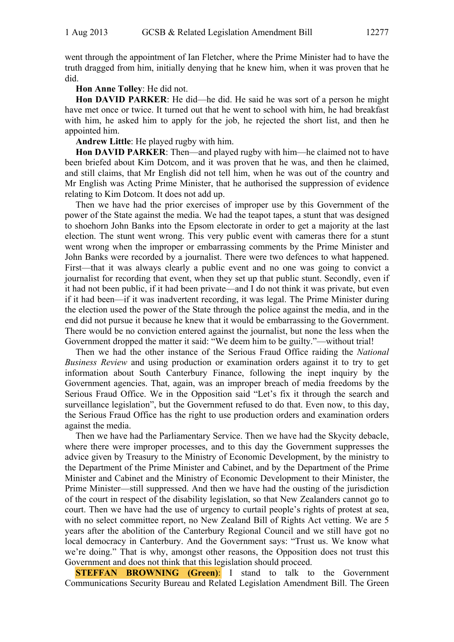went through the appointment of Ian Fletcher, where the Prime Minister had to have the truth dragged from him, initially denying that he knew him, when it was proven that he did.

## **Hon Anne Tolley**: He did not.

**Hon DAVID PARKER**: He did—he did. He said he was sort of a person he might have met once or twice. It turned out that he went to school with him, he had breakfast with him, he asked him to apply for the job, he rejected the short list, and then he appointed him.

**Andrew Little**: He played rugby with him.

**Hon DAVID PARKER**: Then—and played rugby with him—he claimed not to have been briefed about Kim Dotcom, and it was proven that he was, and then he claimed, and still claims, that Mr English did not tell him, when he was out of the country and Mr English was Acting Prime Minister, that he authorised the suppression of evidence relating to Kim Dotcom. It does not add up.

Then we have had the prior exercises of improper use by this Government of the power of the State against the media. We had the teapot tapes, a stunt that was designed to shoehorn John Banks into the Epsom electorate in order to get a majority at the last election. The stunt went wrong. This very public event with cameras there for a stunt went wrong when the improper or embarrassing comments by the Prime Minister and John Banks were recorded by a journalist. There were two defences to what happened. First—that it was always clearly a public event and no one was going to convict a journalist for recording that event, when they set up that public stunt. Secondly, even if it had not been public, if it had been private—and I do not think it was private, but even if it had been—if it was inadvertent recording, it was legal. The Prime Minister during the election used the power of the State through the police against the media, and in the end did not pursue it because he knew that it would be embarrassing to the Government. There would be no conviction entered against the journalist, but none the less when the Government dropped the matter it said: "We deem him to be guilty."—without trial!

Then we had the other instance of the Serious Fraud Office raiding the *National Business Review* and using production or examination orders against it to try to get information about South Canterbury Finance, following the inept inquiry by the Government agencies. That, again, was an improper breach of media freedoms by the Serious Fraud Office. We in the Opposition said "Let's fix it through the search and surveillance legislation", but the Government refused to do that. Even now, to this day, the Serious Fraud Office has the right to use production orders and examination orders against the media.

Then we have had the Parliamentary Service. Then we have had the Skycity debacle, where there were improper processes, and to this day the Government suppresses the advice given by Treasury to the Ministry of Economic Development, by the ministry to the Department of the Prime Minister and Cabinet, and by the Department of the Prime Minister and Cabinet and the Ministry of Economic Development to their Minister, the Prime Minister—still suppressed. And then we have had the ousting of the jurisdiction of the court in respect of the disability legislation, so that New Zealanders cannot go to court. Then we have had the use of urgency to curtail people's rights of protest at sea, with no select committee report, no New Zealand Bill of Rights Act vetting. We are 5 years after the abolition of the Canterbury Regional Council and we still have got no local democracy in Canterbury. And the Government says: "Trust us. We know what we're doing." That is why, amongst other reasons, the Opposition does not trust this Government and does not think that this legislation should proceed.

**STEFFAN BROWNING (Green):** I stand to talk to the Government Communications Security Bureau and Related Legislation Amendment Bill. The Green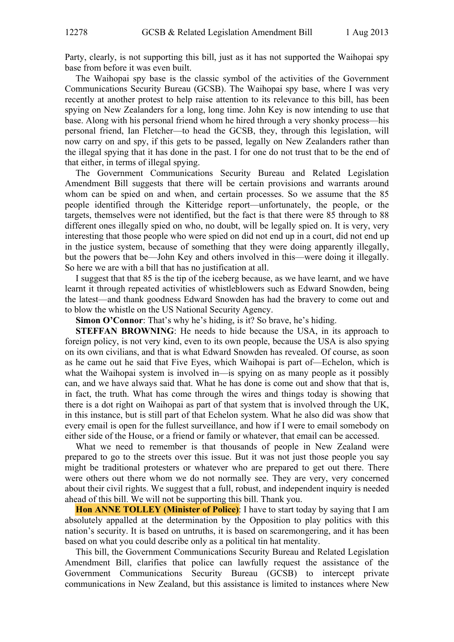Party, clearly, is not supporting this bill, just as it has not supported the Waihopai spy base from before it was even built.

The Waihopai spy base is the classic symbol of the activities of the Government Communications Security Bureau (GCSB). The Waihopai spy base, where I was very recently at another protest to help raise attention to its relevance to this bill, has been spying on New Zealanders for a long, long time. John Key is now intending to use that base. Along with his personal friend whom he hired through a very shonky process—his personal friend, Ian Fletcher—to head the GCSB, they, through this legislation, will now carry on and spy, if this gets to be passed, legally on New Zealanders rather than the illegal spying that it has done in the past. I for one do not trust that to be the end of that either, in terms of illegal spying.

The Government Communications Security Bureau and Related Legislation Amendment Bill suggests that there will be certain provisions and warrants around whom can be spied on and when, and certain processes. So we assume that the 85 people identified through the Kitteridge report—unfortunately, the people, or the targets, themselves were not identified, but the fact is that there were 85 through to 88 different ones illegally spied on who, no doubt, will be legally spied on. It is very, very interesting that those people who were spied on did not end up in a court, did not end up in the justice system, because of something that they were doing apparently illegally, but the powers that be—John Key and others involved in this—were doing it illegally. So here we are with a bill that has no justification at all.

I suggest that that 85 is the tip of the iceberg because, as we have learnt, and we have learnt it through repeated activities of whistleblowers such as Edward Snowden, being the latest—and thank goodness Edward Snowden has had the bravery to come out and to blow the whistle on the US National Security Agency.

**Simon O'Connor**: That's why he's hiding, is it? So brave, he's hiding.

**STEFFAN BROWNING**: He needs to hide because the USA, in its approach to foreign policy, is not very kind, even to its own people, because the USA is also spying on its own civilians, and that is what Edward Snowden has revealed. Of course, as soon as he came out he said that Five Eyes, which Waihopai is part of—Echelon, which is what the Waihopai system is involved in—is spying on as many people as it possibly can, and we have always said that. What he has done is come out and show that that is, in fact, the truth. What has come through the wires and things today is showing that there is a dot right on Waihopai as part of that system that is involved through the UK, in this instance, but is still part of that Echelon system. What he also did was show that every email is open for the fullest surveillance, and how if I were to email somebody on either side of the House, or a friend or family or whatever, that email can be accessed.

What we need to remember is that thousands of people in New Zealand were prepared to go to the streets over this issue. But it was not just those people you say might be traditional protesters or whatever who are prepared to get out there. There were others out there whom we do not normally see. They are very, very concerned about their civil rights. We suggest that a full, robust, and independent inquiry is needed ahead of this bill. We will not be supporting this bill. Thank you.

**Hon ANNE TOLLEY (Minister of Police)**: I have to start today by saying that I am absolutely appalled at the determination by the Opposition to play politics with this nation's security. It is based on untruths, it is based on scaremongering, and it has been based on what you could describe only as a political tin hat mentality.

This bill, the Government Communications Security Bureau and Related Legislation Amendment Bill, clarifies that police can lawfully request the assistance of the Government Communications Security Bureau (GCSB) to intercept private communications in New Zealand, but this assistance is limited to instances where New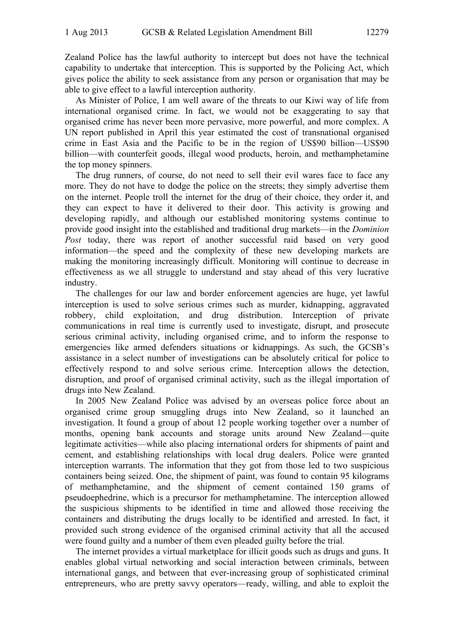Zealand Police has the lawful authority to intercept but does not have the technical capability to undertake that interception. This is supported by the Policing Act, which gives police the ability to seek assistance from any person or organisation that may be able to give effect to a lawful interception authority.

As Minister of Police, I am well aware of the threats to our Kiwi way of life from international organised crime. In fact, we would not be exaggerating to say that organised crime has never been more pervasive, more powerful, and more complex. A UN report published in April this year estimated the cost of transnational organised crime in East Asia and the Pacific to be in the region of US\$90 billion—US\$90 billion—with counterfeit goods, illegal wood products, heroin, and methamphetamine the top money spinners.

The drug runners, of course, do not need to sell their evil wares face to face any more. They do not have to dodge the police on the streets; they simply advertise them on the internet. People troll the internet for the drug of their choice, they order it, and they can expect to have it delivered to their door. This activity is growing and developing rapidly, and although our established monitoring systems continue to provide good insight into the established and traditional drug markets—in the *Dominion Post* today, there was report of another successful raid based on very good information—the speed and the complexity of these new developing markets are making the monitoring increasingly difficult. Monitoring will continue to decrease in effectiveness as we all struggle to understand and stay ahead of this very lucrative industry.

The challenges for our law and border enforcement agencies are huge, yet lawful interception is used to solve serious crimes such as murder, kidnapping, aggravated robbery, child exploitation, and drug distribution. Interception of private communications in real time is currently used to investigate, disrupt, and prosecute serious criminal activity, including organised crime, and to inform the response to emergencies like armed defenders situations or kidnappings. As such, the GCSB's assistance in a select number of investigations can be absolutely critical for police to effectively respond to and solve serious crime. Interception allows the detection, disruption, and proof of organised criminal activity, such as the illegal importation of drugs into New Zealand.

In 2005 New Zealand Police was advised by an overseas police force about an organised crime group smuggling drugs into New Zealand, so it launched an investigation. It found a group of about 12 people working together over a number of months, opening bank accounts and storage units around New Zealand—quite legitimate activities—while also placing international orders for shipments of paint and cement, and establishing relationships with local drug dealers. Police were granted interception warrants. The information that they got from those led to two suspicious containers being seized. One, the shipment of paint, was found to contain 95 kilograms of methamphetamine, and the shipment of cement contained 150 grams of pseudoephedrine, which is a precursor for methamphetamine. The interception allowed the suspicious shipments to be identified in time and allowed those receiving the containers and distributing the drugs locally to be identified and arrested. In fact, it provided such strong evidence of the organised criminal activity that all the accused were found guilty and a number of them even pleaded guilty before the trial.

The internet provides a virtual marketplace for illicit goods such as drugs and guns. It enables global virtual networking and social interaction between criminals, between international gangs, and between that ever-increasing group of sophisticated criminal entrepreneurs, who are pretty savvy operators—ready, willing, and able to exploit the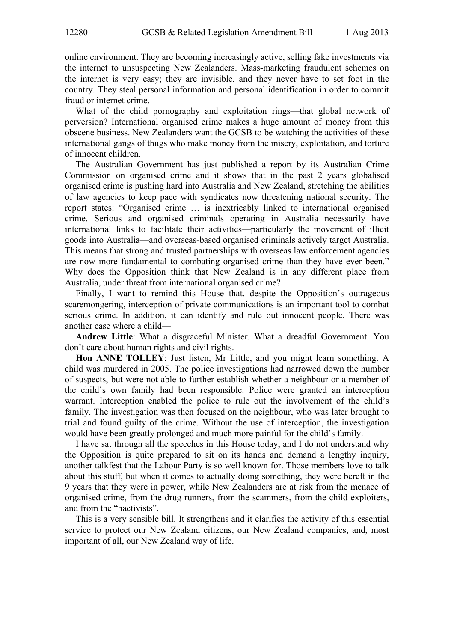online environment. They are becoming increasingly active, selling fake investments via the internet to unsuspecting New Zealanders. Mass-marketing fraudulent schemes on the internet is very easy; they are invisible, and they never have to set foot in the country. They steal personal information and personal identification in order to commit fraud or internet crime.

What of the child pornography and exploitation rings—that global network of perversion? International organised crime makes a huge amount of money from this obscene business. New Zealanders want the GCSB to be watching the activities of these international gangs of thugs who make money from the misery, exploitation, and torture of innocent children.

The Australian Government has just published a report by its Australian Crime Commission on organised crime and it shows that in the past 2 years globalised organised crime is pushing hard into Australia and New Zealand, stretching the abilities of law agencies to keep pace with syndicates now threatening national security. The report states: "Organised crime … is inextricably linked to international organised crime. Serious and organised criminals operating in Australia necessarily have international links to facilitate their activities—particularly the movement of illicit goods into Australia—and overseas-based organised criminals actively target Australia. This means that strong and trusted partnerships with overseas law enforcement agencies are now more fundamental to combating organised crime than they have ever been." Why does the Opposition think that New Zealand is in any different place from Australia, under threat from international organised crime?

Finally, I want to remind this House that, despite the Opposition's outrageous scaremongering, interception of private communications is an important tool to combat serious crime. In addition, it can identify and rule out innocent people. There was another case where a child—

**Andrew Little**: What a disgraceful Minister. What a dreadful Government. You don't care about human rights and civil rights.

**Hon ANNE TOLLEY**: Just listen, Mr Little, and you might learn something. A child was murdered in 2005. The police investigations had narrowed down the number of suspects, but were not able to further establish whether a neighbour or a member of the child's own family had been responsible. Police were granted an interception warrant. Interception enabled the police to rule out the involvement of the child's family. The investigation was then focused on the neighbour, who was later brought to trial and found guilty of the crime. Without the use of interception, the investigation would have been greatly prolonged and much more painful for the child's family.

I have sat through all the speeches in this House today, and I do not understand why the Opposition is quite prepared to sit on its hands and demand a lengthy inquiry, another talkfest that the Labour Party is so well known for. Those members love to talk about this stuff, but when it comes to actually doing something, they were bereft in the 9 years that they were in power, while New Zealanders are at risk from the menace of organised crime, from the drug runners, from the scammers, from the child exploiters, and from the "hactivists".

This is a very sensible bill. It strengthens and it clarifies the activity of this essential service to protect our New Zealand citizens, our New Zealand companies, and, most important of all, our New Zealand way of life.